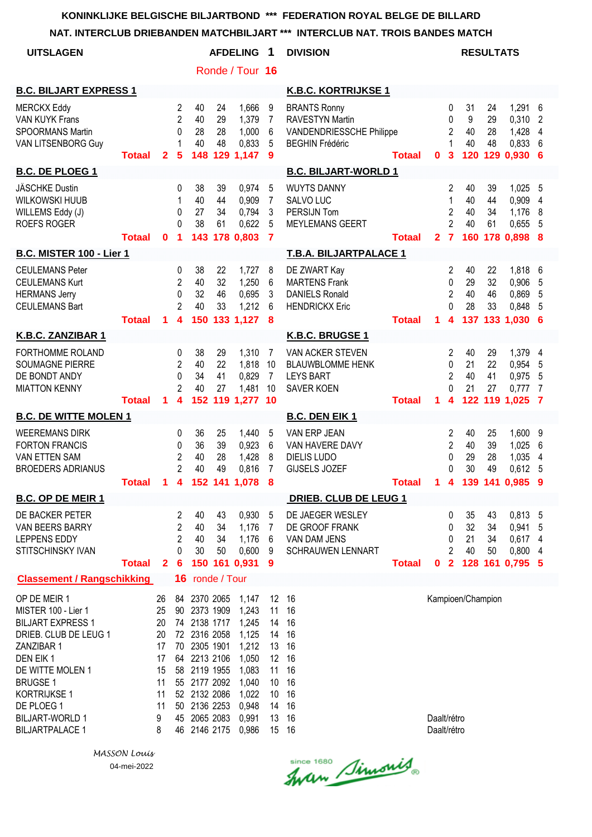#### **NAT. INTERCLUB DRIEBANDEN MATCHBILJART \*\*\* INTERCLUB NAT. TROIS BANDES MATCH**

| <b>UITSLAGEN</b>                                                                                                                                                                                                                                   |               |                                                                    |                                              |                                                                                                                                                                                           |                             | <b>AFDELING</b>                                                                                          | - 1                                                                     | <b>DIVISION</b>                                                                                            |               |                            |                                                                           | <b>RESULTATS</b>            |                             |                                                       |                                    |
|----------------------------------------------------------------------------------------------------------------------------------------------------------------------------------------------------------------------------------------------------|---------------|--------------------------------------------------------------------|----------------------------------------------|-------------------------------------------------------------------------------------------------------------------------------------------------------------------------------------------|-----------------------------|----------------------------------------------------------------------------------------------------------|-------------------------------------------------------------------------|------------------------------------------------------------------------------------------------------------|---------------|----------------------------|---------------------------------------------------------------------------|-----------------------------|-----------------------------|-------------------------------------------------------|------------------------------------|
|                                                                                                                                                                                                                                                    |               |                                                                    |                                              |                                                                                                                                                                                           |                             | Ronde / Tour 16                                                                                          |                                                                         |                                                                                                            |               |                            |                                                                           |                             |                             |                                                       |                                    |
| <b>B.C. BILJART EXPRESS 1</b>                                                                                                                                                                                                                      |               |                                                                    |                                              |                                                                                                                                                                                           |                             |                                                                                                          |                                                                         | <b>K.B.C. KORTRIJKSE 1</b>                                                                                 |               |                            |                                                                           |                             |                             |                                                       |                                    |
| <b>MERCKX Eddy</b><br><b>VAN KUYK Frans</b><br><b>SPOORMANS Martin</b><br>VAN LITSENBORG Guy                                                                                                                                                       | <b>Totaal</b> | $\mathbf{2}$                                                       | 2<br>$\overline{2}$<br>$\mathbf 0$<br>1<br>5 | 40<br>40<br>28<br>40<br>148                                                                                                                                                               | 24<br>29<br>28<br>48        | 1,666<br>1,379<br>1,000<br>0,833<br>129 1,147                                                            | 9<br>7<br>6<br>5<br>$\boldsymbol{9}$                                    | <b>BRANTS Ronny</b><br><b>RAVESTYN Martin</b><br><b>VANDENDRIESSCHE Philippe</b><br><b>BEGHIN Frédéric</b> | <b>Totaal</b> | $\mathbf 0$                | 0<br>0<br>$\overline{c}$<br>1<br>3                                        | 31<br>9<br>40<br>40<br>120  | 24<br>29<br>28<br>48        | 1,291<br>0,310<br>1,428<br>0,833<br>129 0,930         | 6<br>2<br>4<br>6<br>6              |
| <b>B.C. DE PLOEG 1</b>                                                                                                                                                                                                                             |               |                                                                    |                                              |                                                                                                                                                                                           |                             |                                                                                                          |                                                                         | <b>B.C. BILJART-WORLD 1</b>                                                                                |               |                            |                                                                           |                             |                             |                                                       |                                    |
| JÄSCHKE Dustin<br><b>WILKOWSKI HUUB</b><br>WILLEMS Eddy (J)<br><b>ROEFS ROGER</b>                                                                                                                                                                  | Totaal        | $\mathbf 0$                                                        | 0<br>1<br>$\mathbf{0}$<br>$\Omega$<br>1      | 38<br>40<br>27<br>38<br>143                                                                                                                                                               | 39<br>44<br>34<br>61        | 0,974<br>0,909<br>0,794<br>0,622<br>178 0,803                                                            | 5<br>7<br>3<br>5<br>$\overline{7}$                                      | <b>WUYTS DANNY</b><br>SALVO LUC<br>PERSIJN Tom<br><b>MEYLEMANS GEERT</b>                                   | <b>Totaal</b> |                            | $\overline{c}$<br>1<br>$\overline{2}$<br>$\overline{2}$<br>2 <sub>7</sub> | 40<br>40<br>40<br>40<br>160 | 39<br>44<br>34<br>61        | 1,025<br>0,909<br>1,176<br>0,655<br>178 0,898 8       | 5<br>4<br>8<br>5                   |
| <b>B.C. MISTER 100 - Lier 1</b>                                                                                                                                                                                                                    |               |                                                                    |                                              |                                                                                                                                                                                           |                             |                                                                                                          |                                                                         | T.B.A. BILJARTPALACE 1                                                                                     |               |                            |                                                                           |                             |                             |                                                       |                                    |
| <b>CEULEMANS Peter</b><br><b>CEULEMANS Kurt</b><br><b>HERMANS Jerry</b><br><b>CEULEMANS Bart</b>                                                                                                                                                   | <b>Totaal</b> | 1                                                                  | 0<br>2<br>0<br>$\overline{2}$<br>4           | 38<br>40<br>32<br>40<br>150                                                                                                                                                               | 22<br>32<br>46<br>33        | 1,727<br>1,250<br>0,695<br>1,212<br>133 1,127                                                            | 8<br>$6\phantom{.}6$<br>3<br>6<br>8                                     | DE ZWART Kay<br><b>MARTENS Frank</b><br><b>DANIELS Ronald</b><br><b>HENDRICKX Eric</b>                     | <b>Totaal</b> | 1.                         | 2<br>0<br>2<br>$\Omega$<br>4                                              | 40<br>29<br>40<br>28<br>137 | 22<br>32<br>46<br>33        | 1,818<br>0,906<br>0,869<br>0,848<br>133 1,030         | 6<br>5<br>5<br>5<br>- 6            |
| K.B.C. ZANZIBAR 1                                                                                                                                                                                                                                  |               |                                                                    |                                              |                                                                                                                                                                                           |                             |                                                                                                          |                                                                         | K.B.C. BRUGSE 1                                                                                            |               |                            |                                                                           |                             |                             |                                                       |                                    |
| FORTHOMME ROLAND<br><b>SOUMAGNE PIERRE</b><br>DE BONDT ANDY<br><b>MIATTON KENNY</b>                                                                                                                                                                | <b>Totaal</b> | 1                                                                  | 0<br>2<br>0<br>$\overline{2}$<br>4           | 38<br>40<br>34<br>40<br>152                                                                                                                                                               | 29<br>22<br>41<br>27        | 1,310<br>1,818<br>0,829<br>1,481<br>119 1,277                                                            | 7<br>10<br>7<br>10<br>10                                                | VAN ACKER STEVEN<br><b>BLAUWBLOMME HENK</b><br><b>LEYS BART</b><br><b>SAVER KOEN</b>                       | <b>Totaal</b> | 1                          | 2<br>$\mathbf{0}$<br>$\overline{2}$<br>$\Omega$<br>4                      | 40<br>21<br>40<br>21        | 29<br>22<br>41<br>27        | 1,379<br>0,954<br>0,975<br>0,777<br>122 119 1,025     | 4<br>5<br>5<br>7<br>$\overline{7}$ |
| <b>B.C. DE WITTE MOLEN 1</b>                                                                                                                                                                                                                       |               |                                                                    |                                              |                                                                                                                                                                                           |                             |                                                                                                          |                                                                         | <b>B.C. DEN EIK 1</b>                                                                                      |               |                            |                                                                           |                             |                             |                                                       |                                    |
| <b>WEEREMANS DIRK</b><br><b>FORTON FRANCIS</b><br><b>VAN ETTEN SAM</b><br><b>BROEDERS ADRIANUS</b>                                                                                                                                                 | Totaal        | 1                                                                  | 0<br>0<br>2<br>2<br>4                        | 36<br>36<br>40<br>40<br>152                                                                                                                                                               | 25<br>39<br>28<br>49<br>141 | 1,440<br>0,923<br>1,428<br>0,816<br>1,078                                                                | 5<br>6<br>8<br>$\overline{7}$<br>8                                      | VAN ERP JEAN<br>VAN HAVERE DAVY<br><b>DIELIS LUDO</b><br><b>GIJSELS JOZEF</b>                              | Totaal        | 1.                         | 2<br>$\overline{2}$<br>0<br>$\Omega$<br>4                                 | 40<br>40<br>29<br>30<br>139 | 25<br>39<br>28<br>49<br>141 | 1,600<br>1,025<br>1,035<br>0,612<br>0,985             | 9<br>6<br>4<br>5<br>9              |
| <b>B.C. OP DE MEIR 1</b>                                                                                                                                                                                                                           |               |                                                                    |                                              |                                                                                                                                                                                           |                             |                                                                                                          |                                                                         | <b>DRIEB. CLUB DE LEUG 1</b>                                                                               |               |                            |                                                                           |                             |                             |                                                       |                                    |
| DE BACKER PETER<br>VAN BEERS BARRY<br><b>LEPPENS EDDY</b><br><b>STITSCHINSKY IVAN</b>                                                                                                                                                              | <b>Totaal</b> | $\mathbf{2}$                                                       | 2<br>2<br>2<br>0<br>6                        | 40<br>40<br>40<br>30                                                                                                                                                                      | 43<br>34<br>34<br>50        | 0,930<br>1,176<br>1,176<br>0,600<br>150 161 0,931                                                        | 5<br>7<br>6<br>9<br>9                                                   | DE JAEGER WESLEY<br>DE GROOF FRANK<br>VAN DAM JENS<br><b>SCHRAUWEN LENNART</b>                             | Totaal        | 0                          | 0<br>0<br>0<br>2<br>$\overline{2}$                                        | 35<br>32<br>21<br>40        | 43<br>34<br>34<br>50        | 0,813,5<br>0,941<br>0,617<br>0,800<br>128 161 0,795 5 | 5<br>4<br>4                        |
| <b>Classement / Rangschikking</b>                                                                                                                                                                                                                  |               |                                                                    |                                              | 16 ronde / Tour                                                                                                                                                                           |                             |                                                                                                          |                                                                         |                                                                                                            |               |                            |                                                                           |                             |                             |                                                       |                                    |
| OP DE MEIR 1<br>MISTER 100 - Lier 1<br><b>BILJART EXPRESS 1</b><br>DRIEB. CLUB DE LEUG 1<br>ZANZIBAR 1<br>DEN EIK1<br>DE WITTE MOLEN 1<br><b>BRUGSE 1</b><br><b>KORTRIJKSE 1</b><br>DE PLOEG 1<br><b>BILJART-WORLD 1</b><br><b>BILJARTPALACE 1</b> |               | 26<br>25<br>20<br>20<br>17<br>17<br>15<br>11<br>11<br>11<br>9<br>8 | 46                                           | 84 2370 2065<br>90 2373 1909<br>74 2138 1717<br>72 2316 2058<br>70 2305 1901<br>64 2213 2106<br>58 2119 1955<br>55 2177 2092<br>52 2132 2086<br>50 2136 2253<br>45 2065 2083<br>2146 2175 |                             | 1,147<br>1,243<br>1,245<br>1,125<br>1,212<br>1,050<br>1,083<br>1,040<br>1,022<br>0,948<br>0,991<br>0,986 | 12 16<br>11<br>14<br>14<br>13<br>12<br>11<br>10<br>10<br>14<br>13<br>15 | 16<br>16<br>16<br>16<br>16<br>16<br>16<br>16<br>16<br>16<br>16                                             |               | Daalt/rétro<br>Daalt/rétro |                                                                           | Kampioen/Champion           |                             |                                                       |                                    |

*MASSON Louis* 04-mei-2022

Since 1680 Simonis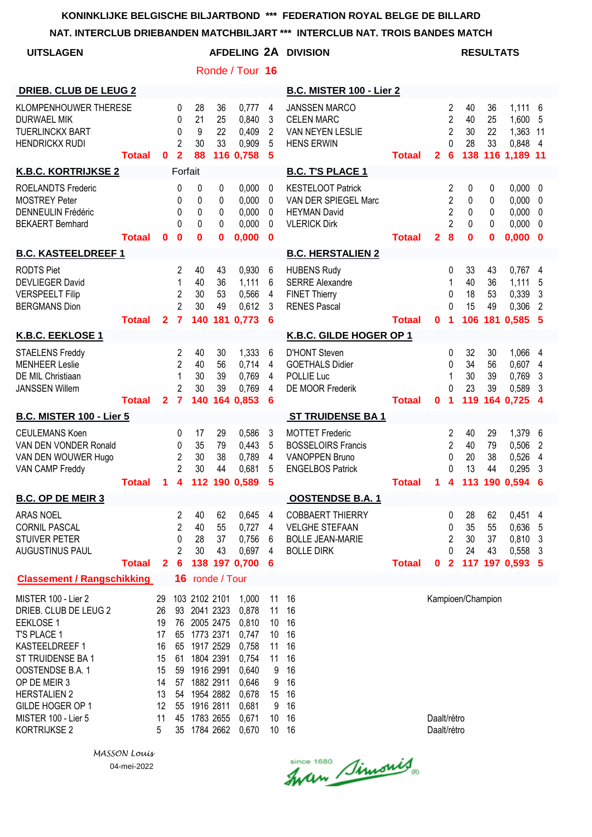|                                                                                                                                                                                                                                                     |               |                                                                     |                                                                                      |                                                                                                                                                                                               |                                         |                                                                                                          |                                                                   | NAT. INTERCLUB DRIEBANDEN MATCHBILJART *** INTERCLUB NAT. TROIS BANDES MATCH                            |               |                            |                                                                                    |                                  |                       |                                                            |                                                      |
|-----------------------------------------------------------------------------------------------------------------------------------------------------------------------------------------------------------------------------------------------------|---------------|---------------------------------------------------------------------|--------------------------------------------------------------------------------------|-----------------------------------------------------------------------------------------------------------------------------------------------------------------------------------------------|-----------------------------------------|----------------------------------------------------------------------------------------------------------|-------------------------------------------------------------------|---------------------------------------------------------------------------------------------------------|---------------|----------------------------|------------------------------------------------------------------------------------|----------------------------------|-----------------------|------------------------------------------------------------|------------------------------------------------------|
| <b>UITSLAGEN</b>                                                                                                                                                                                                                                    |               |                                                                     |                                                                                      |                                                                                                                                                                                               |                                         |                                                                                                          |                                                                   | AFDELING 2A DIVISION                                                                                    |               |                            |                                                                                    |                                  | <b>RESULTATS</b>      |                                                            |                                                      |
|                                                                                                                                                                                                                                                     |               |                                                                     |                                                                                      |                                                                                                                                                                                               |                                         | Ronde / Tour 16                                                                                          |                                                                   |                                                                                                         |               |                            |                                                                                    |                                  |                       |                                                            |                                                      |
| <b>DRIEB. CLUB DE LEUG 2</b>                                                                                                                                                                                                                        |               |                                                                     |                                                                                      |                                                                                                                                                                                               |                                         |                                                                                                          |                                                                   | <b>B.C. MISTER 100 - Lier 2</b>                                                                         |               |                            |                                                                                    |                                  |                       |                                                            |                                                      |
| KLOMPENHOUWER THERESE<br>DURWAEL MIK<br><b>TUERLINCKX BART</b><br><b>HENDRICKX RUDI</b>                                                                                                                                                             | <b>Totaal</b> | $\mathbf{0}$                                                        | 0<br>0<br>$\Omega$<br>$\overline{2}$<br>$\overline{2}$                               | 28<br>21<br>9<br>30<br>88                                                                                                                                                                     | 36<br>25<br>22<br>33                    | 0,777<br>0,840<br>0,409<br>0,909<br>116 0,758                                                            | 4<br>3<br>$\overline{2}$<br>5<br>5                                | <b>JANSSEN MARCO</b><br><b>CELEN MARC</b><br>VAN NEYEN LESLIE<br><b>HENS ERWIN</b>                      | <b>Totaal</b> | $\mathbf{2}$               | 2<br>$\overline{2}$<br>$\overline{2}$<br>0<br>$6\phantom{1}6$                      | 40<br>40<br>30<br>28             | 36<br>25<br>22<br>33  | 1,1116<br>1,600<br>1,363 11<br>0,848 4<br>138 116 1.189 11 | 5                                                    |
| <b>K.B.C. KORTRIJKSE 2</b>                                                                                                                                                                                                                          |               |                                                                     | Forfait                                                                              |                                                                                                                                                                                               |                                         |                                                                                                          |                                                                   | <b>B.C. T'S PLACE 1</b>                                                                                 |               |                            |                                                                                    |                                  |                       |                                                            |                                                      |
| <b>ROELANDTS Frederic</b><br><b>MOSTREY Peter</b><br><b>DENNEULIN Frédéric</b><br><b>BEKAERT Bernhard</b>                                                                                                                                           | <b>Totaal</b> | $\mathbf{0}$                                                        | 0<br>0<br>0<br>$\Omega$<br>$\mathbf{0}$                                              | 0<br>0<br>0<br>0<br>0                                                                                                                                                                         | 0<br>0<br>0<br>$\mathbf{0}$<br>$\bf{0}$ | 0,000<br>0,000<br>0,000<br>0,000<br>0,000                                                                | 0<br>$\mathbf 0$<br>$\mathbf 0$<br>$\mathbf{0}$<br>$\mathbf 0$    | <b>KESTELOOT Patrick</b><br>VAN DER SPIEGEL Marc<br><b>HEYMAN David</b><br><b>VLERICK Dirk</b>          | <b>Totaal</b> | $\mathbf{2}$               | $\overline{\mathbf{c}}$<br>$\overline{2}$<br>$\overline{2}$<br>$\overline{2}$<br>8 | 0<br>0<br>0<br>$\mathbf{0}$<br>0 | 0<br>0<br>0<br>0<br>0 | 0,000<br>0,000<br>0,000<br>0,000<br>$0,0000$ 0             | $\overline{0}$<br>0<br>$\mathbf 0$<br>$\overline{0}$ |
| <b>B.C. KASTEELDREEF 1</b>                                                                                                                                                                                                                          |               |                                                                     |                                                                                      |                                                                                                                                                                                               |                                         |                                                                                                          |                                                                   | <b>B.C. HERSTALIEN 2</b>                                                                                |               |                            |                                                                                    |                                  |                       |                                                            |                                                      |
| <b>RODTS Piet</b><br><b>DEVLIEGER David</b><br><b>VERSPEELT Filip</b><br><b>BERGMANS Dion</b>                                                                                                                                                       | <b>Totaal</b> | $\mathbf{2}$                                                        | $\overline{c}$<br>$\mathbf{1}$<br>$\overline{2}$<br>$\overline{2}$<br>$\overline{7}$ | 40<br>40<br>30<br>30                                                                                                                                                                          | 43<br>36<br>53<br>49                    | 0,930<br>1,111<br>0,566<br>0,612<br>140 181 0,773                                                        | 6<br>6<br>$\overline{4}$<br>3<br>6                                | <b>HUBENS Rudy</b><br><b>SERRE Alexandre</b><br><b>FINET Thierry</b><br><b>RENES Pascal</b>             | <b>Totaal</b> | $\mathbf 0$                | 0<br>1<br>0<br>$\Omega$<br>$\blacktriangleleft$                                    | 33<br>40<br>18<br>15             | 43<br>36<br>53<br>49  | 0,767 4<br>1,111<br>0,339<br>0,306<br>106 181 0,585 5      | 5<br>3<br>$\overline{2}$                             |
| K.B.C. EEKLOSE 1                                                                                                                                                                                                                                    |               |                                                                     |                                                                                      |                                                                                                                                                                                               |                                         |                                                                                                          |                                                                   | K.B.C. GILDE HOGER OP 1                                                                                 |               |                            |                                                                                    |                                  |                       |                                                            |                                                      |
| <b>STAELENS Freddy</b><br><b>MENHEER Leslie</b><br>DE MIL Christiaan<br><b>JANSSEN Willem</b>                                                                                                                                                       | <b>Totaal</b> | $\overline{2}$                                                      | 2<br>$\overline{2}$<br>1<br>$\mathfrak{p}$<br>$\overline{7}$                         | 40<br>40<br>30<br>30<br>140                                                                                                                                                                   | 30<br>56<br>39<br>39                    | 1,333<br>0,714<br>0,769<br>0,769<br>164 0,853                                                            | 6<br>$\overline{4}$<br>$\overline{4}$<br>4<br>6                   | <b>D'HONT Steven</b><br><b>GOETHALS Didier</b><br>POLLIE Luc<br>DE MOOR Frederik                        | <b>Totaal</b> | 0                          | 0<br>0<br>0<br>$\blacktriangleleft$                                                | 32<br>34<br>30<br>23<br>119      | 30<br>56<br>39<br>39  | 1,066 4<br>0,607 4<br>0,769<br>0,589 3<br>164 0,725 4      | 3                                                    |
| <b>B.C. MISTER 100 - Lier 5</b>                                                                                                                                                                                                                     |               |                                                                     |                                                                                      |                                                                                                                                                                                               |                                         |                                                                                                          |                                                                   | ST TRUIDENSE BA 1                                                                                       |               |                            |                                                                                    |                                  |                       |                                                            |                                                      |
| <b>CEULEMANS Koen</b><br>VAN DEN VONDER Ronald<br>VAN DEN WOUWER Hugo<br>VAN CAMP Freddy                                                                                                                                                            | <b>Totaal</b> |                                                                     | 0<br>0<br>$\overline{c}$<br>$\overline{2}$<br>4                                      | 17<br>35<br>30<br>30                                                                                                                                                                          | 29<br>79<br>38<br>44                    | 0,586<br>0,443<br>0,789<br>0,681<br>112 190 0,589 5                                                      | 3<br>5<br>$\overline{4}$<br>5                                     | <b>MOTTET Frederic</b><br><b>BOSSELOIRS Francis</b><br><b>VANOPPEN Bruno</b><br><b>ENGELBOS Patrick</b> | <b>Totaal</b> |                            | 2<br>$\overline{2}$<br>0<br>0<br>4                                                 | 40<br>40<br>20<br>13             | 29<br>79<br>38<br>44  | 1,379<br>0,506<br>0,526<br>0,295<br>113 190 0,594 6        | 6<br>2<br>4<br>3                                     |
| <b>B.C. OP DE MEIR 3</b>                                                                                                                                                                                                                            |               |                                                                     |                                                                                      |                                                                                                                                                                                               |                                         |                                                                                                          |                                                                   | <b>OOSTENDSE B.A. 1</b>                                                                                 |               |                            |                                                                                    |                                  |                       |                                                            |                                                      |
| <b>ARAS NOEL</b><br><b>CORNIL PASCAL</b><br><b>STUIVER PETER</b><br><b>AUGUSTINUS PAUL</b>                                                                                                                                                          | <b>Totaal</b> | $\mathbf{2}$                                                        | $\overline{2}$<br>$\overline{2}$<br>0<br>2<br>$6\phantom{1}6$                        | 40<br>40<br>28<br>30                                                                                                                                                                          | 62<br>55<br>37<br>43                    | 0,645<br>0,727<br>0,756<br>0,697<br>138 197 0,700                                                        | 4<br>4<br>6<br>4<br>-6                                            | <b>COBBAERT THIERRY</b><br><b>VELGHE STEFAAN</b><br><b>BOLLE JEAN-MARIE</b><br><b>BOLLE DIRK</b>        | <b>Totaal</b> | $\mathbf 0$                | 0<br>0<br>2<br>0<br>$\overline{2}$                                                 | 28<br>35<br>30<br>24             | 62<br>55<br>37<br>43  | $0,451$ 4<br>0,636 5<br>0,810<br>0,558<br>117 197 0,593 5  | 3<br>3                                               |
| <b>Classement / Rangschikking</b>                                                                                                                                                                                                                   |               |                                                                     | 16                                                                                   |                                                                                                                                                                                               | ronde / Tour                            |                                                                                                          |                                                                   |                                                                                                         |               |                            |                                                                                    |                                  |                       |                                                            |                                                      |
| MISTER 100 - Lier 2<br>DRIEB. CLUB DE LEUG 2<br><b>EEKLOSE 1</b><br>T'S PLACE 1<br>KASTEELDREEF 1<br>ST TRUIDENSE BA 1<br>OOSTENDSE B.A. 1<br>OP DE MEIR 3<br><b>HERSTALIEN 2</b><br>GILDE HOGER OP 1<br>MISTER 100 - Lier 5<br><b>KORTRIJKSE 2</b> |               | 29<br>26<br>19<br>17<br>16<br>15<br>15<br>14<br>13<br>12<br>11<br>5 |                                                                                      | 103 2102 2101<br>93 2041 2323<br>76 2005 2475<br>65 1773 2371<br>65 1917 2529<br>61 1804 2391<br>59 1916 2991<br>57 1882 2911<br>54 1954 2882<br>55 1916 2811<br>45 1783 2655<br>35 1784 2662 |                                         | 1,000<br>0,878<br>0,810<br>0,747<br>0,758<br>0,754<br>0,640<br>0,646<br>0,678<br>0,681<br>0,671<br>0,670 | 11<br>11<br>10<br>10<br>11<br>11<br>9<br>9<br>15<br>9<br>10<br>10 | 16<br>16<br>16<br>16<br>16<br>16<br>16<br>16<br>16<br>16<br>16<br>16                                    |               | Daalt/rétro<br>Daalt/rétro |                                                                                    | Kampioen/Champion                |                       |                                                            |                                                      |

Since 1680 Simonis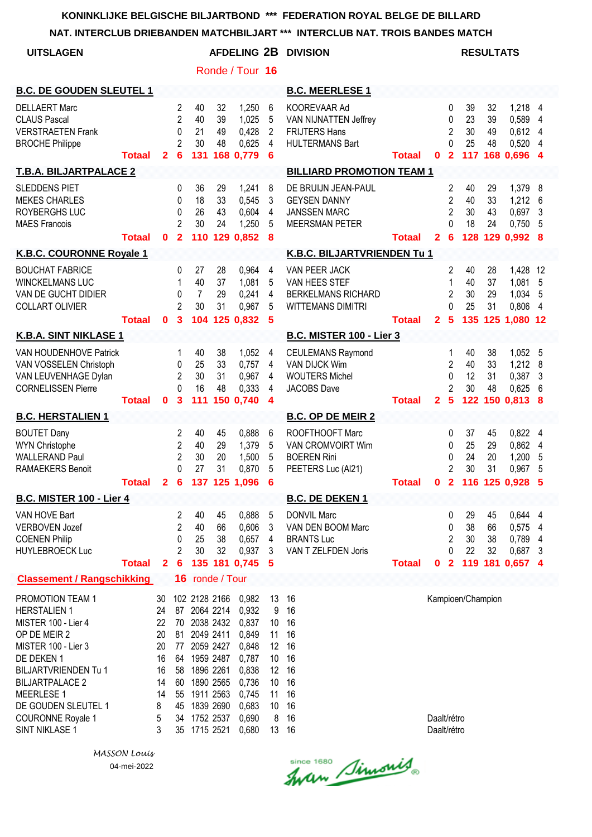**NAT. INTERCLUB DRIEBANDEN MATCHBILJART \*\*\* INTERCLUB NAT. TROIS BANDES MATCH**

| <b>UITSLAGEN</b>                                                                                                                                                                                                                                                |               |                                                                   |                                                                        |                                                                                                                                                                       |                             |                                                                                                          |                                                                                              | <b>AFDELING 2B DIVISION</b>                                                                |               |                            |                                                         | <b>RESULTATS</b>            |                             |                                                   |                         |
|-----------------------------------------------------------------------------------------------------------------------------------------------------------------------------------------------------------------------------------------------------------------|---------------|-------------------------------------------------------------------|------------------------------------------------------------------------|-----------------------------------------------------------------------------------------------------------------------------------------------------------------------|-----------------------------|----------------------------------------------------------------------------------------------------------|----------------------------------------------------------------------------------------------|--------------------------------------------------------------------------------------------|---------------|----------------------------|---------------------------------------------------------|-----------------------------|-----------------------------|---------------------------------------------------|-------------------------|
|                                                                                                                                                                                                                                                                 |               |                                                                   |                                                                        |                                                                                                                                                                       |                             | Ronde / Tour 16                                                                                          |                                                                                              |                                                                                            |               |                            |                                                         |                             |                             |                                                   |                         |
| <b>B.C. DE GOUDEN SLEUTEL 1</b>                                                                                                                                                                                                                                 |               |                                                                   |                                                                        |                                                                                                                                                                       |                             |                                                                                                          |                                                                                              | <b>B.C. MEERLESE 1</b>                                                                     |               |                            |                                                         |                             |                             |                                                   |                         |
| <b>DELLAERT Marc</b><br><b>CLAUS Pascal</b><br><b>VERSTRAETEN Frank</b><br><b>BROCHE Philippe</b>                                                                                                                                                               | <b>Totaal</b> | $\mathbf{2}$                                                      | $\overline{2}$<br>$\overline{2}$<br>$\mathbf 0$<br>$\overline{2}$<br>6 | 40<br>40<br>21<br>30<br>131                                                                                                                                           | 32<br>39<br>49<br>48        | 1,250<br>1,025<br>0,428<br>0,625<br>168 0,779                                                            | 6<br>5<br>2<br>4<br>6                                                                        | KOOREVAAR Ad<br>VAN NIJNATTEN Jeffrey<br><b>FRIJTERS Hans</b><br><b>HULTERMANS Bart</b>    | Totaal        | $\mathbf{0}$               | 0<br>0<br>$\overline{2}$<br>0<br>$\overline{2}$         | 39<br>23<br>30<br>25        | 32<br>39<br>49<br>48        | 1,218<br>0,589<br>0,612<br>0,520<br>117 168 0.696 | 4<br>4<br>4<br>4<br>- 4 |
| <b>T.B.A. BILJARTPALACE 2</b>                                                                                                                                                                                                                                   |               |                                                                   |                                                                        |                                                                                                                                                                       |                             |                                                                                                          |                                                                                              | <b>BILLIARD PROMOTION TEAM 1</b>                                                           |               |                            |                                                         |                             |                             |                                                   |                         |
| <b>SLEDDENS PIET</b><br><b>MEKES CHARLES</b><br>ROYBERGHS LUC<br><b>MAES Francois</b>                                                                                                                                                                           | <b>Totaal</b> | 0                                                                 | 0<br>$\Omega$<br>0<br>$\overline{2}$<br>$\overline{2}$                 | 36<br>18<br>26<br>30<br>110                                                                                                                                           | 29<br>33<br>43<br>24        | 1,241<br>0,545<br>0,604<br>1,250<br>129 0,852                                                            | 8<br>3<br>4<br>5<br>8                                                                        | DE BRUIJN JEAN-PAUL<br><b>GEYSEN DANNY</b><br><b>JANSSEN MARC</b><br><b>MEERSMAN PETER</b> | Totaal        | $\overline{2}$             | 2<br>$\overline{2}$<br>2<br>$\Omega$<br>$6\phantom{1}6$ | 40<br>40<br>30<br>18<br>128 | 29<br>33<br>43<br>24        | 1,379<br>1,212<br>0,697<br>0,750<br>129 0.992 8   | - 8<br>6<br>3<br>5      |
| K.B.C. COURONNE Royale 1                                                                                                                                                                                                                                        |               |                                                                   |                                                                        |                                                                                                                                                                       |                             |                                                                                                          |                                                                                              | K.B.C. BILJARTVRIENDEN Tu 1                                                                |               |                            |                                                         |                             |                             |                                                   |                         |
| <b>BOUCHAT FABRICE</b><br><b>WINCKELMANS LUC</b><br>VAN DE GUCHT DIDIER<br><b>COLLART OLIVIER</b>                                                                                                                                                               |               |                                                                   | 0<br>1<br>$\mathbf{0}$<br>$\mathfrak{p}$                               | 27<br>40<br>$\overline{7}$<br>30                                                                                                                                      | 28<br>37<br>29<br>31        | 0,964<br>1,081<br>0,241<br>0,967                                                                         | 4<br>5<br>4<br>5                                                                             | VAN PEER JACK<br>VAN HEES STEF<br><b>BERKELMANS RICHARD</b><br><b>WITTEMANS DIMITRI</b>    |               |                            | 2<br>1<br>$\overline{2}$<br>$\Omega$                    | 40<br>40<br>30<br>25        | 28<br>37<br>29<br>31        | 1,428<br>1,081<br>1,034<br>0,806                  | -12<br>5<br>5<br>4      |
| K.B.A. SINT NIKLASE 1                                                                                                                                                                                                                                           | <b>Totaal</b> | 0                                                                 | 3                                                                      | 104                                                                                                                                                                   |                             | 125 0,832                                                                                                | 5                                                                                            | <b>B.C. MISTER 100 - Lier 3</b>                                                            | <b>Totaal</b> | $\overline{2}$             | 5                                                       |                             |                             | 135 125 1,080 12                                  |                         |
| VAN HOUDENHOVE Patrick<br>VAN VOSSELEN Christoph<br>VAN LEUVENHAGE Dylan<br><b>CORNELISSEN Pierre</b>                                                                                                                                                           | <b>Totaal</b> | 0                                                                 | 1<br>0<br>$\overline{2}$<br>$\Omega$<br>3                              | 40<br>25<br>30<br>16<br>111                                                                                                                                           | 38<br>33<br>31<br>48<br>150 | 1,052<br>0,757<br>0,967<br>0,333<br>0,740                                                                | 4<br>$\overline{4}$<br>4<br>4<br>$\overline{\mathbf{4}}$                                     | <b>CEULEMANS Raymond</b><br>VAN DIJCK Wim<br><b>WOUTERS Michel</b><br><b>JACOBS Dave</b>   | <b>Totaal</b> | $\overline{2}$             | 1<br>$\overline{c}$<br>0<br>$\overline{2}$<br>5         | 40<br>40<br>12<br>30<br>122 | 38<br>33<br>31<br>48<br>150 | 1,052<br>1,212<br>0,387<br>0,625<br>0,813 8       | 5<br>8<br>3<br>6        |
| <b>B.C. HERSTALIEN 1</b>                                                                                                                                                                                                                                        |               |                                                                   |                                                                        |                                                                                                                                                                       |                             |                                                                                                          |                                                                                              | <b>B.C. OP DE MEIR 2</b>                                                                   |               |                            |                                                         |                             |                             |                                                   |                         |
| <b>BOUTET Dany</b><br><b>WYN Christophe</b><br><b>WALLERAND Paul</b><br><b>RAMAEKERS Benoit</b>                                                                                                                                                                 | <b>Totaal</b> | $\mathbf{2}$                                                      | 2<br>$\overline{2}$<br>$\overline{2}$<br>$\Omega$<br>6                 | 40<br>40<br>30<br>27<br>137                                                                                                                                           | 45<br>29<br>20<br>31<br>125 | 0,888<br>1,379<br>1,500<br>0,870<br>1.096                                                                | 6<br>5<br>5<br>5<br>6                                                                        | ROOFTHOOFT Marc<br>VAN CROMVOIRT Wim<br><b>BOEREN Rini</b><br>PEETERS Luc (Al21)           | <b>Totaal</b> | $\mathbf 0$                | 0<br>0<br>0<br>2<br>$\overline{2}$                      | 37<br>25<br>24<br>30<br>116 | 45<br>29<br>20<br>31<br>125 | 0,822<br>0,862<br>1,200<br>0,967<br>0,928         | 4<br>4<br>5<br>5<br>5   |
| <b>B.C. MISTER 100 - Lier 4</b>                                                                                                                                                                                                                                 |               |                                                                   |                                                                        |                                                                                                                                                                       |                             |                                                                                                          |                                                                                              | <b>B.C. DE DEKEN 1</b>                                                                     |               |                            |                                                         |                             |                             |                                                   |                         |
| VAN HOVE Bart<br><b>VERBOVEN Jozef</b><br><b>COENEN Philip</b><br><b>HUYLEBROECK Luc</b>                                                                                                                                                                        | <b>Totaal</b> | $\mathbf{2}$                                                      | 2<br>$\overline{2}$<br>0<br>$\overline{2}$<br>$6\phantom{1}6$          | 40<br>40<br>25<br>30                                                                                                                                                  | 45<br>66<br>38<br>32        | 0,888<br>0,606<br>0,657<br>0,937<br>135 181 0,745                                                        | 5<br>3<br>4<br>3<br>5                                                                        | <b>DONVIL Marc</b><br>VAN DEN BOOM Marc<br><b>BRANTS Luc</b><br>VAN T ZELFDEN Joris        | <b>Totaal</b> | $\mathbf 0$                | 0<br>0<br>2<br>0<br>$\mathbf{2}$                        | 29<br>38<br>30<br>22<br>119 | 45<br>66<br>38<br>32<br>181 | 0,644 4<br>0,575<br>0,789<br>0,687<br>$0,657$ 4   | 4<br>4<br>3             |
| <b>Classement / Rangschikking</b>                                                                                                                                                                                                                               |               |                                                                   |                                                                        | 16 ronde / Tour                                                                                                                                                       |                             |                                                                                                          |                                                                                              |                                                                                            |               |                            |                                                         |                             |                             |                                                   |                         |
| PROMOTION TEAM 1<br><b>HERSTALIEN 1</b><br>MISTER 100 - Lier 4<br>OP DE MEIR 2<br>MISTER 100 - Lier 3<br>DE DEKEN 1<br><b>BILJARTVRIENDEN Tu 1</b><br><b>BILJARTPALACE 2</b><br>MEERLESE 1<br>DE GOUDEN SLEUTEL 1<br><b>COURONNE Royale 1</b><br>SINT NIKLASE 1 |               | 30<br>24<br>22<br>20<br>20<br>16<br>16<br>14<br>14<br>8<br>5<br>3 | 81<br>64<br>58<br>60<br>55<br>45<br>34<br>35                           | 102 2128 2166<br>87 2064 2214<br>70 2038 2432<br>2049 2411<br>77 2059 2427<br>1959 2487<br>1896 2261<br>1890 2565<br>1911 2563<br>1839 2690<br>1752 2537<br>1715 2521 |                             | 0,982<br>0,932<br>0,837<br>0,849<br>0,848<br>0,787<br>0,838<br>0,736<br>0,745<br>0,683<br>0,690<br>0,680 | 13<br>9<br>10 <sup>°</sup><br>11<br>12<br>10<br>12<br>10 <sup>°</sup><br>11<br>10<br>8<br>13 | 16<br>16<br>16<br>16<br>16<br>16<br>16<br>16<br>16<br>16<br>16<br>16                       |               | Daalt/rétro<br>Daalt/rétro |                                                         | Kampioen/Champion           |                             |                                                   |                         |

Since 1680 Simonis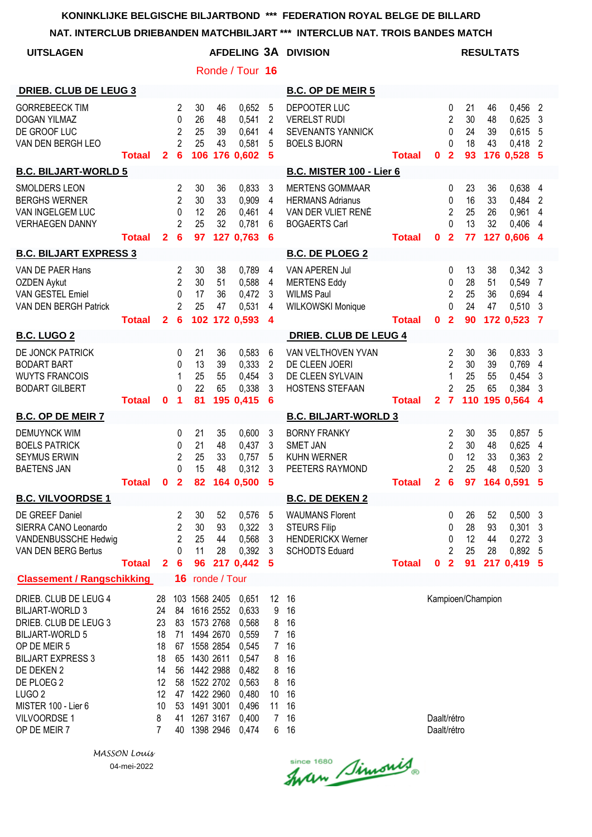**NAT. INTERCLUB DRIEBANDEN MATCHBILJART \*\*\* INTERCLUB NAT. TROIS BANDES MATCH**

| <b>UITSLAGEN</b>                                                                                                                                                                                                                                       |               |                                                                    |                                                                 |                                                                                                                                                                          |                            | Ronde / Tour 16                                                                                          |                                                                                                    | <b>AFDELING 3A DIVISION</b>                                                                                                                                       |               |                            |                                                    | <b>RESULTATS</b>                  |                            |                                                                |                          |
|--------------------------------------------------------------------------------------------------------------------------------------------------------------------------------------------------------------------------------------------------------|---------------|--------------------------------------------------------------------|-----------------------------------------------------------------|--------------------------------------------------------------------------------------------------------------------------------------------------------------------------|----------------------------|----------------------------------------------------------------------------------------------------------|----------------------------------------------------------------------------------------------------|-------------------------------------------------------------------------------------------------------------------------------------------------------------------|---------------|----------------------------|----------------------------------------------------|-----------------------------------|----------------------------|----------------------------------------------------------------|--------------------------|
| <b>DRIEB. CLUB DE LEUG 3</b>                                                                                                                                                                                                                           |               |                                                                    |                                                                 |                                                                                                                                                                          |                            |                                                                                                          |                                                                                                    | <b>B.C. OP DE MEIR 5</b>                                                                                                                                          |               |                            |                                                    |                                   |                            |                                                                |                          |
| <b>GORREBEECK TIM</b><br><b>DOGAN YILMAZ</b><br>DE GROOF LUC<br>VAN DEN BERGH LEO                                                                                                                                                                      | <b>Totaal</b> | $\mathbf{2}$                                                       | 2<br>0<br>$\overline{c}$<br>$\overline{2}$<br>6                 | 30<br>26<br>25<br>25<br>106                                                                                                                                              | 46<br>48<br>39<br>43       | 0,652<br>0,541<br>0,641<br>0,581<br>176 0.602                                                            | 5<br>2<br>4<br>5<br>5                                                                              | DEPOOTER LUC<br><b>VERELST RUDI</b><br><b>SEVENANTS YANNICK</b><br><b>BOELS BJORN</b>                                                                             | <b>Totaal</b> | 0                          | 0<br>2<br>0<br>$\Omega$<br>$\overline{2}$          | 21<br>30<br>24<br>18<br>93        | 46<br>48<br>39<br>43       | 0,456<br>0,625<br>0,615<br>0,418<br>176 0,528 5                | 2<br>3<br>5<br>2         |
| <b>B.C. BILJART-WORLD 5</b>                                                                                                                                                                                                                            |               |                                                                    |                                                                 |                                                                                                                                                                          |                            |                                                                                                          |                                                                                                    | <b>B.C. MISTER 100 - Lier 6</b>                                                                                                                                   |               |                            |                                                    |                                   |                            |                                                                |                          |
| <b>SMOLDERS LEON</b><br><b>BERGHS WERNER</b><br>VAN INGELGEM LUC<br><b>VERHAEGEN DANNY</b>                                                                                                                                                             | <b>Totaal</b> | $\mathbf{2}$                                                       | 2<br>$\mathbf{2}$<br>0<br>$\mathbf{2}$<br>$6\phantom{1}6$       | 30<br>30<br>12<br>25<br>97                                                                                                                                               | 36<br>33<br>26<br>32       | 0,833<br>0,909<br>0,461<br>0,781<br>127 0,763                                                            | 3<br>4<br>4<br>6<br>6                                                                              | <b>MERTENS GOMMAAR</b><br><b>HERMANS Adrianus</b><br>VAN DER VLIET RENÉ<br><b>BOGAERTS Carl</b>                                                                   | <b>Totaal</b> | $\mathbf 0$                | 0<br>0<br>2<br>$\Omega$<br>$\overline{\mathbf{2}}$ | 23<br>16<br>25<br>13<br>77        | 36<br>33<br>26<br>32       | 0,638<br>0,484<br>0,961<br>0,406<br>127 0,606 4                | 4<br>2<br>4<br>4         |
| <b>B.C. BILJART EXPRESS 3</b>                                                                                                                                                                                                                          |               |                                                                    |                                                                 |                                                                                                                                                                          |                            |                                                                                                          |                                                                                                    | <b>B.C. DE PLOEG 2</b>                                                                                                                                            |               |                            |                                                    |                                   |                            |                                                                |                          |
| VAN DE PAER Hans<br><b>OZDEN Aykut</b><br><b>VAN GESTEL Emiel</b><br>VAN DEN BERGH Patrick                                                                                                                                                             |               |                                                                    | $\overline{c}$<br>$\overline{2}$<br>$\pmb{0}$<br>$\overline{2}$ | 30<br>30<br>17<br>25                                                                                                                                                     | 38<br>51<br>36<br>47       | 0,789<br>0,588<br>0,472<br>0,531                                                                         | 4<br>4<br>3<br>4                                                                                   | VAN APEREN Jul<br><b>MERTENS Eddy</b><br><b>WILMS Paul</b><br><b>WILKOWSKI Monique</b>                                                                            |               |                            | 0<br>0<br>$\overline{2}$<br>0                      | 13<br>28<br>25<br>24              | 38<br>51<br>36<br>47       | $0,342$ 3<br>0,549<br>0,694<br>0,510                           | 7<br>4<br>3              |
|                                                                                                                                                                                                                                                        | <b>Totaal</b> | $\mathbf{2}$                                                       | 6                                                               |                                                                                                                                                                          |                            | 102 172 0.593                                                                                            | $\boldsymbol{4}$                                                                                   |                                                                                                                                                                   | <b>Totaal</b> | $\mathbf 0$                | $\overline{\mathbf{2}}$                            | 90                                |                            | 172 0,523                                                      | $\overline{7}$           |
| <b>B.C. LUGO 2</b><br>DE JONCK PATRICK<br><b>BODART BART</b><br><b>WUYTS FRANCOIS</b><br><b>BODART GILBERT</b><br><b>B.C. OP DE MEIR 7</b><br><b>DEMUYNCK WIM</b>                                                                                      | <b>Totaal</b> | $\mathbf{0}$                                                       | 0<br>0<br>1<br>$\Omega$<br>-1<br>0                              | 21<br>13<br>25<br>22<br>81<br>21                                                                                                                                         | 36<br>39<br>55<br>65<br>35 | 0,583<br>0,333<br>0,454<br>0,338<br>195 0,415<br>0,600                                                   | 6<br>2<br>3<br>3<br>6<br>3                                                                         | <b>DRIEB. CLUB DE LEUG 4</b><br>VAN VELTHOVEN YVAN<br>DE CLEEN JOERI<br>DE CLEEN SYLVAIN<br>HOSTENS STEFAAN<br><b>B.C. BILJART-WORLD 3</b><br><b>BORNY FRANKY</b> | <b>Totaal</b> | 2 <sub>7</sub>             | $\overline{c}$<br>2<br>1<br>2<br>2                 | 30<br>30<br>25<br>25<br>110<br>30 | 36<br>39<br>55<br>65<br>35 | $0,833$ 3<br>0,769<br>0,454<br>0,384<br>195 0,564<br>$0,857$ 5 | 4<br>3<br>3<br>4         |
| <b>BOELS PATRICK</b><br><b>SEYMUS ERWIN</b><br><b>BAETENS JAN</b><br><b>B.C. VILVOORDSE 1</b>                                                                                                                                                          | Totaal 0 2    |                                                                    | 0<br>2<br>$\Omega$                                              | 21<br>25<br>15<br>82                                                                                                                                                     | 48<br>33<br>48             | 0,437<br>0,757<br>0,312<br>164 0,500                                                                     | 3<br>5<br>3<br>5                                                                                   | <b>SMET JAN</b><br><b>KUHN WERNER</b><br>PEETERS RAYMOND<br><b>B.C. DE DEKEN 2</b>                                                                                | <b>Totaal</b> | 2 <sub>6</sub>             | $\overline{2}$<br>$\Omega$<br>2                    | 30<br>12<br>25<br>97              | 48<br>33<br>48             | 0,625<br>0,363<br>0,520<br>164 0,591                           | 4<br>$\overline{2}$<br>3 |
| DE GREEF Daniel<br>SIERRA CANO Leonardo<br>VANDENBUSSCHE Hedwig<br>VAN DEN BERG Bertus                                                                                                                                                                 | <b>Totaal</b> | $\mathbf{2}$                                                       | 2<br>$\overline{2}$<br>$\overline{2}$<br>0<br>-6                | 30<br>30<br>25<br>11<br>96                                                                                                                                               | 52<br>93<br>44<br>28       | 0,576<br>0,322<br>0,568<br>0,392<br>217 0,442                                                            | 5<br>3<br>3<br>3<br>5                                                                              | <b>WAUMANS Florent</b><br><b>STEURS Filip</b><br><b>HENDERICKX Werner</b><br><b>SCHODTS Eduard</b>                                                                | <b>Totaal</b> | $\mathbf 0$                | 0<br>0<br>0<br>2<br>$\overline{2}$                 | 26<br>28<br>12<br>25<br>91        | 52<br>93<br>44<br>28       | 0,500<br>0,301<br>0,272<br>0,892<br>217 0,419 5                | 3<br>3<br>3<br>5         |
| <b>Classement / Rangschikking</b>                                                                                                                                                                                                                      |               |                                                                    | 16                                                              |                                                                                                                                                                          | ronde / Tour               |                                                                                                          |                                                                                                    |                                                                                                                                                                   |               |                            |                                                    |                                   |                            |                                                                |                          |
| DRIEB. CLUB DE LEUG 4<br><b>BILJART-WORLD 3</b><br>DRIEB. CLUB DE LEUG 3<br><b>BILJART-WORLD 5</b><br>OP DE MEIR 5<br><b>BILJART EXPRESS 3</b><br>DE DEKEN 2<br>DE PLOEG 2<br>LUGO <sub>2</sub><br>MISTER 100 - Lier 6<br>VILVOORDSE 1<br>OP DE MEIR 7 |               | 28<br>24<br>23<br>18<br>18<br>18<br>14<br>12<br>12<br>10<br>8<br>7 | 71<br>65<br>56<br>58<br>53<br>41<br>40                          | 103 1568 2405<br>84 1616 2552<br>83 1573 2768<br>1494 2670<br>67 1558 2854<br>1430 2611<br>1442 2988<br>1522 2702<br>47 1422 2960<br>1491 3001<br>1267 3167<br>1398 2946 |                            | 0,651<br>0,633<br>0,568<br>0,559<br>0,545<br>0,547<br>0,482<br>0,563<br>0,480<br>0,496<br>0,400<br>0,474 | 12<br>9<br>8<br>7 <sup>1</sup><br>7 <sup>1</sup><br>8<br>8<br>8<br>10<br>11<br>7<br>6 <sup>1</sup> | 16<br>16<br>16<br>16<br>16<br>16<br>16<br>16<br>16<br>16<br>16<br>16                                                                                              |               | Daalt/rétro<br>Daalt/rétro |                                                    | Kampioen/Champion                 |                            |                                                                |                          |

Since 1680 Simonis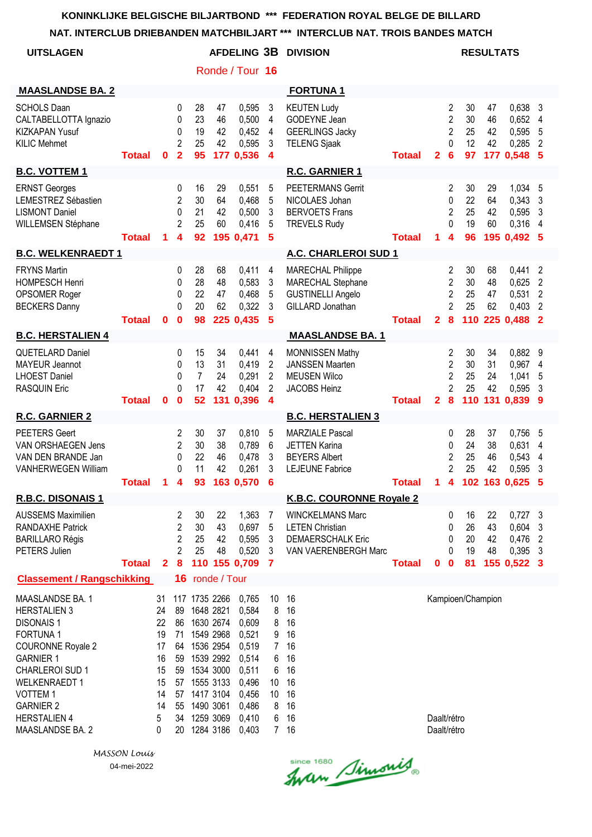**NAT. INTERCLUB DRIEBANDEN MATCHBILJART \*\*\* INTERCLUB NAT. TROIS BANDES MATCH**

| <b>UITSLAGEN</b>                                                                                                                                                                                                                                         |                 |                                                                    |                                                                |                                        |                                                                                                                                |                                                                                                          |                                                                                                                 | <b>AFDELING 3B DIVISION</b>                                                                           |               |                            |                                                                            | <b>RESULTATS</b>            |                      |                                                           |                                                                      |
|----------------------------------------------------------------------------------------------------------------------------------------------------------------------------------------------------------------------------------------------------------|-----------------|--------------------------------------------------------------------|----------------------------------------------------------------|----------------------------------------|--------------------------------------------------------------------------------------------------------------------------------|----------------------------------------------------------------------------------------------------------|-----------------------------------------------------------------------------------------------------------------|-------------------------------------------------------------------------------------------------------|---------------|----------------------------|----------------------------------------------------------------------------|-----------------------------|----------------------|-----------------------------------------------------------|----------------------------------------------------------------------|
|                                                                                                                                                                                                                                                          |                 |                                                                    |                                                                |                                        |                                                                                                                                | Ronde / Tour 16                                                                                          |                                                                                                                 |                                                                                                       |               |                            |                                                                            |                             |                      |                                                           |                                                                      |
| <b>MAASLANDSE BA. 2</b>                                                                                                                                                                                                                                  |                 |                                                                    |                                                                |                                        |                                                                                                                                |                                                                                                          |                                                                                                                 | <b>FORTUNA1</b>                                                                                       |               |                            |                                                                            |                             |                      |                                                           |                                                                      |
| <b>SCHOLS Daan</b><br>CALTABELLOTTA Ignazio<br><b>KIZKAPAN Yusuf</b><br><b>KILIC Mehmet</b>                                                                                                                                                              | <b>Totaal</b>   | $\mathbf{0}$                                                       | 0<br>0<br>0<br>$\overline{2}$<br>$\overline{2}$                | 28<br>23<br>19<br>25<br>95             | 47<br>46<br>42<br>42                                                                                                           | 0,595<br>0,500<br>0,452<br>0,595<br>177 0,536                                                            | 3<br>4<br>4<br>3<br>$\overline{\mathbf{4}}$                                                                     | <b>KEUTEN Ludy</b><br>GODEYNE Jean<br><b>GEERLINGS Jacky</b><br><b>TELENG Sjaak</b>                   | <b>Totaal</b> | $\overline{2}$             | $\overline{2}$<br>$\overline{2}$<br>$\overline{2}$<br>$\Omega$<br>6        | 30<br>30<br>25<br>12<br>97  | 47<br>46<br>42<br>42 | 0,638<br>0,652<br>0,595<br>0,285<br>177 0,548 5           | - 3<br>$\overline{4}$<br>5<br>$\overline{2}$                         |
| <b>B.C. VOTTEM 1</b>                                                                                                                                                                                                                                     |                 |                                                                    |                                                                |                                        |                                                                                                                                |                                                                                                          |                                                                                                                 | R.C. GARNIER 1                                                                                        |               |                            |                                                                            |                             |                      |                                                           |                                                                      |
| <b>ERNST Georges</b><br>LEMESTREZ Sébastien<br><b>LISMONT Daniel</b><br>WILLEMSEN Stéphane                                                                                                                                                               | <b>Totaal</b>   | 1                                                                  | 0<br>2<br>0<br>$\overline{2}$<br>$\overline{\mathbf{4}}$       | 16<br>30<br>21<br>25<br>92             | 29<br>64<br>42<br>60                                                                                                           | 0,551<br>0,468<br>0,500<br>0,416<br>195 0,471                                                            | 5<br>5<br>3<br>5<br>5                                                                                           | <b>PEETERMANS Gerrit</b><br>NICOLAES Johan<br><b>BERVOETS Frans</b><br><b>TREVELS Rudy</b>            | <b>Totaal</b> | 1                          | 2<br>0<br>2<br>$\Omega$<br>$\overline{\mathbf{4}}$                         | 30<br>22<br>25<br>19<br>96  | 29<br>64<br>42<br>60 | 1,034 5<br>0,343<br>0,595<br>0,316<br>195 0,492 5         | 3<br>3<br>$\overline{4}$                                             |
| <b>B.C. WELKENRAEDT 1</b>                                                                                                                                                                                                                                |                 |                                                                    |                                                                |                                        |                                                                                                                                |                                                                                                          |                                                                                                                 | A.C. CHARLEROI SUD 1                                                                                  |               |                            |                                                                            |                             |                      |                                                           |                                                                      |
| <b>FRYNS Martin</b><br><b>HOMPESCH Henri</b><br>OPSOMER Roger<br><b>BECKERS Danny</b>                                                                                                                                                                    | <b>Totaal</b>   | 0                                                                  | 0<br>0<br>0<br>$\Omega$<br>$\mathbf{0}$                        | 28<br>28<br>22<br>20<br>98             | 68<br>48<br>47<br>62                                                                                                           | 0,411<br>0,583<br>0,468<br>0,322<br>225 0,435                                                            | 4<br>3<br>5<br>3<br>5                                                                                           | <b>MARECHAL Philippe</b><br>MARECHAL Stephane<br><b>GUSTINELLI Angelo</b><br>GILLARD Jonathan         | <b>Totaal</b> |                            | 2<br>$\overline{2}$<br>$\overline{c}$<br>$\overline{2}$<br>28              | 30<br>30<br>25<br>25        | 68<br>48<br>47<br>62 | 0,441<br>0,625<br>0,531<br>0,403<br>110 225 0,488 2       | $\overline{2}$<br>$\overline{2}$<br>$\overline{2}$<br>$\overline{2}$ |
| <b>B.C. HERSTALIEN 4</b>                                                                                                                                                                                                                                 |                 |                                                                    |                                                                |                                        |                                                                                                                                |                                                                                                          |                                                                                                                 | <b>MAASLANDSE BA. 1</b>                                                                               |               |                            |                                                                            |                             |                      |                                                           |                                                                      |
| <b>QUETELARD Daniel</b><br>MAYEUR Jeannot<br><b>LHOEST Daniel</b><br><b>RASQUIN Eric</b>                                                                                                                                                                 | <b>Totaal</b>   | $\mathbf{0}$                                                       | 0<br>0<br>0<br>0<br>$\mathbf{0}$                               | 15<br>13<br>$\overline{7}$<br>17<br>52 | 34<br>31<br>24<br>42                                                                                                           | 0,441<br>0,419<br>0,291<br>0,404<br>131 0,396                                                            | 4<br>$\overline{2}$<br>$\overline{2}$<br>2<br>$\overline{\bf{4}}$                                               | MONNISSEN Mathy<br><b>JANSSEN Maarten</b><br><b>MEUSEN Wilco</b><br><b>JACOBS Heinz</b>               | <b>Totaal</b> |                            | $\overline{2}$<br>$\overline{2}$<br>$\overline{c}$<br>$\overline{2}$<br>28 | 30<br>30<br>25<br>25<br>110 | 34<br>31<br>24<br>42 | 0,882 9<br>0,967<br>1,041<br>0,595<br>131 0,839           | 4<br>5<br>3<br>-9                                                    |
| <b>R.C. GARNIER 2</b>                                                                                                                                                                                                                                    |                 |                                                                    |                                                                |                                        |                                                                                                                                |                                                                                                          |                                                                                                                 | <b>B.C. HERSTALIEN 3</b>                                                                              |               |                            |                                                                            |                             |                      |                                                           |                                                                      |
| <b>PEETERS Geert</b><br><b>VAN ORSHAEGEN Jens</b><br>VAN DEN BRANDE Jan<br><b>VANHERWEGEN William</b>                                                                                                                                                    | <b>Totaal 1</b> |                                                                    | 2<br>2<br>0<br>0<br>$\boldsymbol{4}$                           | 30<br>30<br>22<br>11<br>93             | 37<br>38<br>46<br>42                                                                                                           | 0,810<br>0,789<br>0,478<br>0,261<br>163 0,570                                                            | 5<br>6<br>3<br>3<br>6                                                                                           | <b>MARZIALE Pascal</b><br><b>JETTEN Karina</b><br><b>BEYERS Albert</b><br><b>LEJEUNE Fabrice</b>      | Totaal 1 4    |                            | 0<br>0<br>$\overline{2}$<br>$\overline{2}$                                 | 28<br>24<br>25<br>25        | 37<br>38<br>46<br>42 | 0,756<br>0,631<br>0,543<br>0,595<br>102 163 0,625         | - 5<br>4<br>4<br>3<br>5                                              |
| <b>R.B.C. DISONAIS 1</b>                                                                                                                                                                                                                                 |                 |                                                                    |                                                                |                                        |                                                                                                                                |                                                                                                          |                                                                                                                 | <b>K.B.C. COURONNE Royale 2</b>                                                                       |               |                            |                                                                            |                             |                      |                                                           |                                                                      |
| <b>AUSSEMS Maximilien</b><br><b>RANDAXHE Patrick</b><br><b>BARILLARO Régis</b><br>PETERS Julien                                                                                                                                                          | <b>Totaal</b>   | $\overline{2}$                                                     | 2<br>2<br>2<br>2<br>8                                          | 30<br>30<br>25<br>25                   | 22<br>43<br>42<br>48                                                                                                           | 1,363<br>0,697<br>0,595<br>0,520<br>110 155 0,709                                                        | 7<br>5<br>3<br>3<br>$\overline{7}$                                                                              | <b>WINCKELMANS Marc</b><br><b>LETEN Christian</b><br><b>DEMAERSCHALK Eric</b><br>VAN VAERENBERGH Marc | <b>Totaal</b> | $\mathbf{0}$               | 0<br>0<br>0<br>0<br>$\mathbf 0$                                            | 16<br>26<br>20<br>19<br>81  | 22<br>43<br>42<br>48 | $0,727$ 3<br>0,604 3<br>0,476 2<br>0,395 3<br>155 0,522 3 |                                                                      |
| <b>Classement / Rangschikking</b>                                                                                                                                                                                                                        |                 |                                                                    | 16                                                             |                                        | ronde / Tour                                                                                                                   |                                                                                                          |                                                                                                                 |                                                                                                       |               |                            |                                                                            |                             |                      |                                                           |                                                                      |
| MAASLANDSE BA. 1<br><b>HERSTALIEN 3</b><br><b>DISONAIS1</b><br>FORTUNA 1<br><b>COURONNE Royale 2</b><br><b>GARNIER 1</b><br>CHARLEROI SUD 1<br><b>WELKENRAEDT1</b><br>VOTTEM <sub>1</sub><br><b>GARNIER 2</b><br><b>HERSTALIEN 4</b><br>MAASLANDSE BA. 2 |                 | 31<br>24<br>22<br>19<br>17<br>16<br>15<br>15<br>14<br>14<br>5<br>0 | 89<br>86<br>71<br>64<br>59<br>59<br>57<br>57<br>55<br>34<br>20 | 117 1735 2266<br>1648 2821             | 1630 2674<br>1549 2968<br>1536 2954<br>1539 2992<br>1534 3000<br>1555 3133<br>1417 3104<br>1490 3061<br>1259 3069<br>1284 3186 | 0,765<br>0,584<br>0,609<br>0,521<br>0,519<br>0,514<br>0,511<br>0,496<br>0,456<br>0,486<br>0,410<br>0,403 | 10 <sup>°</sup><br>8<br>8<br>9<br>$\overline{7}$<br>6<br>6<br>10 <sup>°</sup><br>10 <sup>°</sup><br>8<br>6<br>7 | 16<br>16<br>16<br>16<br>16<br>16<br>16<br>16<br>16<br>16<br>16<br>16                                  |               | Daalt/rétro<br>Daalt/rétro |                                                                            | Kampioen/Champion           |                      |                                                           |                                                                      |

Since 1680 Simonis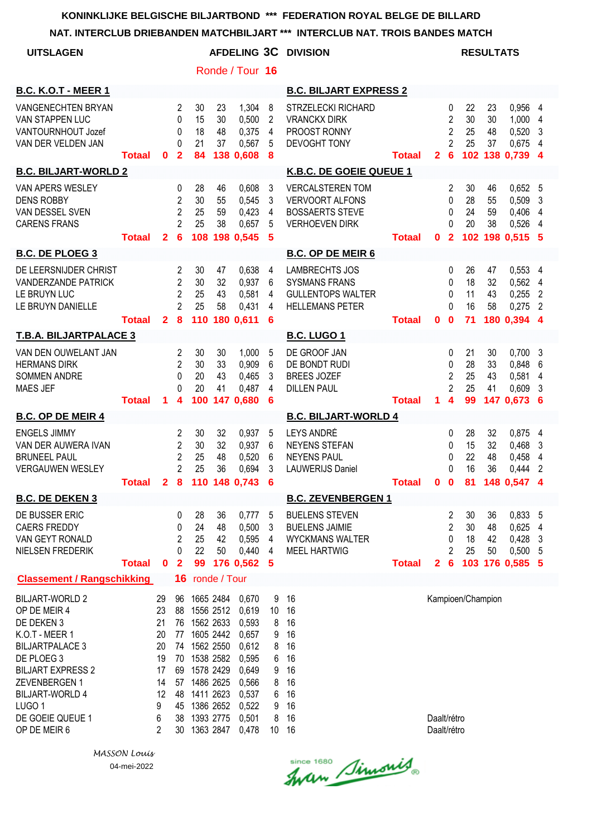#### **NAT. INTERCLUB DRIEBANDEN MATCHBILJART \*\*\* INTERCLUB NAT. TROIS BANDES MATCH**

| <b>UITSLAGEN</b>                                                                                                                                                                                                                                     |                          |                                                                   |                                                                                  |                                                                                                                                                                   |                      |                                                                                                          |                                                                            | <b>AFDELING 3C DIVISION</b>                                                                          |               |                            |                                                           | <b>RESULTATS</b>           |                      |                                                       |                                  |
|------------------------------------------------------------------------------------------------------------------------------------------------------------------------------------------------------------------------------------------------------|--------------------------|-------------------------------------------------------------------|----------------------------------------------------------------------------------|-------------------------------------------------------------------------------------------------------------------------------------------------------------------|----------------------|----------------------------------------------------------------------------------------------------------|----------------------------------------------------------------------------|------------------------------------------------------------------------------------------------------|---------------|----------------------------|-----------------------------------------------------------|----------------------------|----------------------|-------------------------------------------------------|----------------------------------|
|                                                                                                                                                                                                                                                      |                          |                                                                   |                                                                                  |                                                                                                                                                                   |                      | Ronde / Tour 16                                                                                          |                                                                            |                                                                                                      |               |                            |                                                           |                            |                      |                                                       |                                  |
| <b>B.C. K.O.T - MEER 1</b>                                                                                                                                                                                                                           |                          |                                                                   |                                                                                  |                                                                                                                                                                   |                      |                                                                                                          |                                                                            | <b>B.C. BILJART EXPRESS 2</b>                                                                        |               |                            |                                                           |                            |                      |                                                       |                                  |
| VANGENECHTEN BRYAN<br>VAN STAPPEN LUC<br>VANTOURNHOUT Jozef<br>VAN DER VELDEN JAN                                                                                                                                                                    | <b>Totaal</b>            | 0                                                                 | 2<br>0<br>0<br>$\Omega$<br>$\mathbf{2}$                                          | 30<br>15<br>18<br>21<br>84                                                                                                                                        | 23<br>30<br>48<br>37 | 1,304<br>0,500<br>0,375<br>0,567<br>138 0,608                                                            | 8<br>2<br>4<br>5<br>8                                                      | <b>STRZELECKI RICHARD</b><br><b>VRANCKX DIRK</b><br>PROOST RONNY<br><b>DEVOGHT TONY</b>              | <b>Totaal</b> | $\mathbf{2}$               | 0<br>2<br>$\overline{2}$<br>$\overline{2}$<br>6           | 22<br>30<br>25<br>25       | 23<br>30<br>48<br>37 | 0,956 4<br>1,000<br>0,520<br>0,675<br>102 138 0,739   | 4<br>3<br>4<br>- 4               |
| <b>B.C. BILJART-WORLD 2</b>                                                                                                                                                                                                                          |                          |                                                                   |                                                                                  |                                                                                                                                                                   |                      |                                                                                                          |                                                                            | K.B.C. DE GOEIE QUEUE 1                                                                              |               |                            |                                                           |                            |                      |                                                       |                                  |
| VAN APERS WESLEY<br><b>DENS ROBBY</b><br>VAN DESSEL SVEN<br><b>CARENS FRANS</b>                                                                                                                                                                      | <b>Totaal</b>            | $\mathbf{2}$                                                      | 0<br>2<br>$\overline{2}$<br>2<br>$6\phantom{1}6$                                 | 28<br>30<br>25<br>25                                                                                                                                              | 46<br>55<br>59<br>38 | 0,608<br>0,545<br>0,423<br>0,657<br>108 198 0,545                                                        | 3<br>3<br>4<br>5<br>5                                                      | <b>VERCALSTEREN TOM</b><br><b>VERVOORT ALFONS</b><br><b>BOSSAERTS STEVE</b><br><b>VERHOEVEN DIRK</b> | <b>Totaal</b> | $\mathbf 0$                | 2<br>$\Omega$<br>0<br>$\Omega$<br>$\overline{\mathbf{2}}$ | 30<br>28<br>24<br>20       | 46<br>55<br>59<br>38 | 0,652<br>0,509<br>0,406<br>0,526<br>102 198 0,515 5   | 5<br>3<br>4<br>4                 |
| <b>B.C. DE PLOEG 3</b>                                                                                                                                                                                                                               |                          |                                                                   |                                                                                  |                                                                                                                                                                   |                      |                                                                                                          |                                                                            | <b>B.C. OP DE MEIR 6</b>                                                                             |               |                            |                                                           |                            |                      |                                                       |                                  |
| DE LEERSNIJDER CHRIST<br><b>VANDERZANDE PATRICK</b><br>LE BRUYN LUC<br>LE BRUYN DANIELLE                                                                                                                                                             | <b>Totaal</b>            | 2 <sup>1</sup>                                                    | $\overline{2}$<br>$\overline{2}$<br>$\overline{2}$<br>$\overline{2}$<br>$\bf{8}$ | 30<br>30<br>25<br>25                                                                                                                                              | 47<br>32<br>43<br>58 | 0.638<br>0,937<br>0,581<br>0,431<br>110 180 0,611                                                        | 4<br>6<br>4<br>4<br>6                                                      | <b>LAMBRECHTS JOS</b><br><b>SYSMANS FRANS</b><br><b>GULLENTOPS WALTER</b><br><b>HELLEMANS PETER</b>  | <b>Totaal</b> | 0                          | 0<br>0<br>0<br>$\Omega$<br>$\mathbf 0$                    | 26<br>18<br>11<br>16<br>71 | 47<br>32<br>43<br>58 | $0,553$ 4<br>0,562 4<br>0,255<br>0,275<br>180 0.394 4 | $\overline{2}$<br>$\overline{2}$ |
| <b>T.B.A. BILJARTPALACE 3</b>                                                                                                                                                                                                                        |                          |                                                                   |                                                                                  |                                                                                                                                                                   |                      |                                                                                                          |                                                                            | <b>B.C. LUGO 1</b>                                                                                   |               |                            |                                                           |                            |                      |                                                       |                                  |
| VAN DEN OUWELANT JAN<br><b>HERMANS DIRK</b><br><b>SOMMEN ANDRE</b><br><b>MAES JEF</b>                                                                                                                                                                | <b>Totaal</b>            | 1                                                                 | 2<br>$\overline{2}$<br>$\Omega$<br>$\Omega$<br>4                                 | 30<br>30<br>20<br>20<br>100                                                                                                                                       | 30<br>33<br>43<br>41 | 1,000<br>0,909<br>0,465<br>0,487<br>147 0,680                                                            | 5<br>6<br>3<br>4<br>6                                                      | DE GROOF JAN<br>DE BONDT RUDI<br><b>BREES JOZEF</b><br><b>DILLEN PAUL</b>                            | <b>Totaal</b> | 1                          | 0<br>0<br>2<br>$\overline{2}$<br>4                        | 21<br>28<br>25<br>25<br>99 | 30<br>33<br>43<br>41 | 0,700<br>0,848<br>0,581<br>0,609<br>147 0,673 6       | 3<br>6<br>4<br>3                 |
| <b>B.C. OP DE MEIR 4</b>                                                                                                                                                                                                                             |                          |                                                                   |                                                                                  |                                                                                                                                                                   |                      |                                                                                                          |                                                                            | <b>B.C. BILJART-WORLD 4</b>                                                                          |               |                            |                                                           |                            |                      |                                                       |                                  |
| <b>ENGELS JIMMY</b><br>VAN DER AUWERA IVAN<br><b>BRUNEEL PAUL</b><br><b>VERGAUWEN WESLEY</b>                                                                                                                                                         | Totaal 2 8 110 148 0,743 |                                                                   | 2<br>2<br>$\overline{2}$<br>$\mathfrak{p}$                                       | 30<br>30<br>25<br>25                                                                                                                                              | 32<br>32<br>48<br>36 | 0,937<br>0,937<br>0,520<br>0,694                                                                         | 5<br>6<br>6<br>3<br>6                                                      | <b>LEYS ANDRÉ</b><br><b>NEYENS STEFAN</b><br><b>NEYENS PAUL</b><br><b>LAUWERIJS Daniel</b>           | <b>Totaal</b> | $0\quad 0$                 | 0<br>0<br>0<br>$\Omega$                                   | 28<br>15<br>22<br>16<br>81 | 32<br>32<br>48<br>36 | 0,875<br>0,468<br>0,458<br>0,444<br>148 0,547 4       | 4<br>3<br>4<br>2                 |
| <b>B.C. DE DEKEN 3</b>                                                                                                                                                                                                                               |                          |                                                                   |                                                                                  |                                                                                                                                                                   |                      |                                                                                                          |                                                                            | <b>B.C. ZEVENBERGEN 1</b>                                                                            |               |                            |                                                           |                            |                      |                                                       |                                  |
| DE BUSSER ERIC<br><b>CAERS FREDDY</b><br>VAN GEYT RONALD<br>NIELSEN FREDERIK                                                                                                                                                                         | <b>Totaal</b>            | $\bf{0}$                                                          | 0<br>0<br>2<br>$\mathbf{0}$<br>$\overline{2}$                                    | 28<br>24<br>25<br>22<br>99                                                                                                                                        | 36<br>48<br>42<br>50 | 0,777<br>0,500<br>0,595<br>0,440<br>176 0,562                                                            | 5<br>3<br>4<br>4<br>-5                                                     | <b>BUELENS STEVEN</b><br><b>BUELENS JAIMIE</b><br><b>WYCKMANS WALTER</b><br><b>MEEL HARTWIG</b>      | <b>Totaal</b> | $\mathbf{2}$               | 2<br>$\overline{2}$<br>0<br>2<br>$6\phantom{1}6$          | 30<br>30<br>18<br>25       | 36<br>48<br>42<br>50 | 0,833 5<br>0,625<br>0,428<br>0,500<br>103 176 0,585 5 | 4<br>3<br>5                      |
| <b>Classement / Rangschikking</b>                                                                                                                                                                                                                    |                          |                                                                   | 16                                                                               |                                                                                                                                                                   | ronde / Tour         |                                                                                                          |                                                                            |                                                                                                      |               |                            |                                                           |                            |                      |                                                       |                                  |
| <b>BILJART-WORLD 2</b><br>OP DE MEIR 4<br>DE DEKEN 3<br>K.O.T - MEER 1<br><b>BILJARTPALACE 3</b><br>DE PLOEG 3<br><b>BILJART EXPRESS 2</b><br><b>ZEVENBERGEN1</b><br><b>BILJART-WORLD 4</b><br>LUGO <sub>1</sub><br>DE GOEIE QUEUE 1<br>OP DE MEIR 6 |                          | 29<br>23<br>21<br>20<br>20<br>19<br>17<br>14<br>12<br>9<br>6<br>2 | 96<br>76<br>77<br>70<br>69<br>57<br>48<br>38<br>30                               | 1665 2484<br>88 1556 2512<br>1562 2633<br>1605 2442<br>74 1562 2550<br>1538 2582<br>1578 2429<br>1486 2625<br>1411 2623<br>45 1386 2652<br>1393 2775<br>1363 2847 |                      | 0,670<br>0,619<br>0,593<br>0,657<br>0,612<br>0,595<br>0,649<br>0,566<br>0,537<br>0,522<br>0,501<br>0,478 | 9<br>10 <sup>°</sup><br>8<br>9<br>8<br>6<br>9<br>8<br>6<br>9<br>8<br>10 16 | 16<br>16<br>16<br>16<br>16<br>16<br>16<br>16<br>16<br>16<br>16                                       |               | Daalt/rétro<br>Daalt/rétro |                                                           | Kampioen/Champion          |                      |                                                       |                                  |

Since 1680 Simonis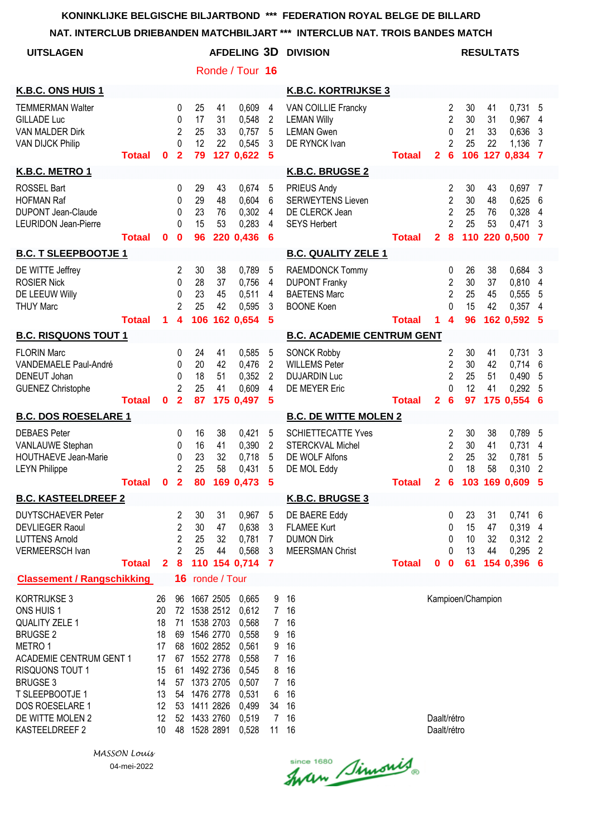#### **NAT. INTERCLUB DRIEBANDEN MATCHBILJART \*\*\* INTERCLUB NAT. TROIS BANDES MATCH**

| <b>UITSLAGEN</b>                                                                                                                                                                                                                             |               |                                                                      |                                                                            |                             |                                                                                                                                             | Ronde / Tour 16                                                                                          |                                                                                                                             | <b>AFDELING 3D DIVISION</b>                                                             |               |                            |                                                                                   | <b>RESULTATS</b>           |                      |                                                               |                               |
|----------------------------------------------------------------------------------------------------------------------------------------------------------------------------------------------------------------------------------------------|---------------|----------------------------------------------------------------------|----------------------------------------------------------------------------|-----------------------------|---------------------------------------------------------------------------------------------------------------------------------------------|----------------------------------------------------------------------------------------------------------|-----------------------------------------------------------------------------------------------------------------------------|-----------------------------------------------------------------------------------------|---------------|----------------------------|-----------------------------------------------------------------------------------|----------------------------|----------------------|---------------------------------------------------------------|-------------------------------|
| K.B.C. ONS HUIS 1                                                                                                                                                                                                                            |               |                                                                      |                                                                            |                             |                                                                                                                                             |                                                                                                          |                                                                                                                             | <b>K.B.C. KORTRIJKSE 3</b>                                                              |               |                            |                                                                                   |                            |                      |                                                               |                               |
| <b>TEMMERMAN Walter</b><br><b>GILLADE Luc</b><br><b>VAN MALDER Dirk</b><br><b>VAN DIJCK Philip</b>                                                                                                                                           | <b>Totaal</b> | 0                                                                    | 0<br>0<br>2<br>0<br>$\overline{2}$                                         | 25<br>17<br>25<br>12<br>79  | 41<br>31<br>33<br>22                                                                                                                        | 0,609<br>0,548<br>0,757<br>0,545<br>127 0.622                                                            | 4<br>$\overline{2}$<br>5<br>3<br>5                                                                                          | VAN COILLIE Francky<br><b>LEMAN Willy</b><br><b>LEMAN Gwen</b><br>DE RYNCK Ivan         | <b>Totaal</b> | $\mathbf{2}$               | 2<br>$\overline{2}$<br>$\mathbf 0$<br>$\overline{2}$<br>6                         | 30<br>30<br>21<br>25       | 41<br>31<br>33<br>22 | $0,731$ 5<br>0,967<br>0,636<br>1,136<br>106 127 0,834         | 4<br>3<br>7<br>$\overline{7}$ |
| K.B.C. METRO 1                                                                                                                                                                                                                               |               |                                                                      |                                                                            |                             |                                                                                                                                             |                                                                                                          |                                                                                                                             | K.B.C. BRUGSE 2                                                                         |               |                            |                                                                                   |                            |                      |                                                               |                               |
| <b>ROSSEL Bart</b><br><b>HOFMAN Raf</b><br><b>DUPONT Jean-Claude</b><br><b>LEURIDON Jean-Pierre</b>                                                                                                                                          | <b>Totaal</b> | $\mathbf{0}$                                                         | 0<br>0<br>0<br>$\Omega$<br>$\mathbf 0$                                     | 29<br>29<br>23<br>15<br>96  | 43<br>48<br>76<br>53                                                                                                                        | 0,674<br>0,604<br>0,302<br>0,283<br>220 0,436                                                            | 5<br>6<br>$\overline{4}$<br>4<br>6                                                                                          | <b>PRIEUS Andy</b><br><b>SERWEYTENS Lieven</b><br>DE CLERCK Jean<br><b>SEYS Herbert</b> | <b>Totaal</b> | $\mathbf{2}$               | 2<br>$\overline{2}$<br>$\overline{2}$<br>$\mathfrak{p}$<br>8                      | 30<br>30<br>25<br>25       | 43<br>48<br>76<br>53 | 0,697<br>0,625<br>0,328<br>0,471<br>110 220 0,500             | - 7<br>6<br>4<br>3<br>7       |
| <b>B.C. T SLEEPBOOTJE 1</b>                                                                                                                                                                                                                  |               |                                                                      |                                                                            |                             |                                                                                                                                             |                                                                                                          |                                                                                                                             | <b>B.C. QUALITY ZELE 1</b>                                                              |               |                            |                                                                                   |                            |                      |                                                               |                               |
| DE WITTE Jeffrey<br><b>ROSIER Nick</b><br>DE LEEUW Willy<br><b>THUY Marc</b>                                                                                                                                                                 | <b>Totaal</b> | 1                                                                    | 2<br>$\Omega$<br>$\mathbf{0}$<br>$\mathfrak{p}$<br>$\overline{\mathbf{4}}$ | 30<br>28<br>23<br>25<br>106 | 38<br>37<br>45<br>42                                                                                                                        | 0,789<br>0,756<br>0,511<br>0,595<br>162 0,654                                                            | 5<br>4<br>4<br>3<br>5                                                                                                       | RAEMDONCK Tommy<br><b>DUPONT Franky</b><br><b>BAETENS Marc</b><br><b>BOONE Koen</b>     | <b>Totaal</b> | 1                          | 0<br>2<br>$\overline{2}$<br>0<br>$\overline{\mathbf{4}}$                          | 26<br>30<br>25<br>15<br>96 | 38<br>37<br>45<br>42 | 0,684<br>0,810<br>0,555<br>0,357<br>162 0,592 5               | -3<br>4<br>5<br>-4            |
| <b>B.C. RISQUONS TOUT 1</b>                                                                                                                                                                                                                  |               |                                                                      |                                                                            |                             |                                                                                                                                             |                                                                                                          |                                                                                                                             | <b>B.C. ACADEMIE CENTRUM GENT</b>                                                       |               |                            |                                                                                   |                            |                      |                                                               |                               |
| <b>FLORIN Marc</b><br>VANDEMAELE Paul-André<br><b>DENEUT Johan</b><br><b>GUENEZ Christophe</b>                                                                                                                                               | <b>Totaal</b> | $\mathbf{0}$                                                         | 0<br>0<br>0<br>2<br>$\overline{2}$                                         | 24<br>20<br>18<br>25<br>87  | 41<br>42<br>51<br>41                                                                                                                        | 0,585<br>0,476<br>0,352<br>0,609<br>175 0,497                                                            | 5<br>$\overline{2}$<br>2<br>$\overline{4}$<br>5                                                                             | <b>SONCK Robby</b><br><b>WILLEMS Peter</b><br><b>DUJARDIN Luc</b><br>DE MEYER Eric      | Totaal        | $\mathbf{2}$               | $\overline{2}$<br>$\overline{2}$<br>$\overline{2}$<br>$\Omega$<br>$6\phantom{1}6$ | 30<br>30<br>25<br>12<br>97 | 41<br>42<br>51<br>41 | 0,731<br>0,714<br>0,490<br>0,292<br>175 0,554                 | 3<br>6<br>5<br>-5<br>6        |
| <b>B.C. DOS ROESELARE 1</b>                                                                                                                                                                                                                  |               |                                                                      |                                                                            |                             |                                                                                                                                             |                                                                                                          |                                                                                                                             | <b>B.C. DE WITTE MOLEN 2</b>                                                            |               |                            |                                                                                   |                            |                      |                                                               |                               |
| <b>DEBAES</b> Peter<br>VANLAUWE Stephan<br><b>HOUTHAEVE Jean-Marie</b><br><b>LEYN Philippe</b>                                                                                                                                               | Totaal 0 2    |                                                                      | $\bf{0}$<br>0<br>$\Omega$<br>2                                             | 16<br>16<br>23<br>25<br>80  | 38<br>41<br>32<br>58                                                                                                                        | 0,421<br>0,390<br>0,718<br>0,431<br>169 0,473                                                            | 5<br>$\overline{2}$<br>5<br>5<br>$\overline{5}$                                                                             | <b>SCHIETTECATTE Yves</b><br><b>STERCKVAL Michel</b><br>DE WOLF Alfons<br>DE MOL Eddy   | <b>Totaal</b> |                            | 2<br>$\overline{2}$<br>$\overline{2}$<br>0                                        | 30<br>30<br>25<br>18       | 38<br>41<br>32<br>58 | 0,789<br>0,731<br>0,781<br>0,310<br>2 6 103 169 0,609         | 5<br>4<br>5<br>2              |
| <b>B.C. KASTEELDREEF 2</b>                                                                                                                                                                                                                   |               |                                                                      |                                                                            |                             |                                                                                                                                             |                                                                                                          |                                                                                                                             | K.B.C. BRUGSE 3                                                                         |               |                            |                                                                                   |                            |                      |                                                               |                               |
| <b>DUYTSCHAEVER Peter</b><br><b>DEVLIEGER Raoul</b><br><b>LUTTENS Arnold</b><br>VERMEERSCH Ivan                                                                                                                                              | <b>Totaal</b> | $\mathbf{2}$                                                         | $\overline{c}$<br>$\overline{2}$<br>2<br>2<br>8                            | 30<br>30<br>25<br>25        | 31<br>47<br>32<br>44                                                                                                                        | 0,967<br>0,638<br>0,781<br>0,568<br>110 154 0,714                                                        | $\overline{5}$<br>3<br>7<br>3<br>7                                                                                          | DE BAERE Eddy<br><b>FLAMEE Kurt</b><br><b>DUMON Dirk</b><br><b>MEERSMAN Christ</b>      | <b>Totaal</b> | $\mathbf{0}$               | 0<br>0<br>0<br>$\Omega$<br>$\bf{0}$                                               | 23<br>15<br>10<br>13<br>61 | 31<br>47<br>32<br>44 | $0,741$ 6<br>0,319 4<br>$0,312$ 2<br>$0,295$ 2<br>154 0,396 6 |                               |
| <b>Classement / Rangschikking</b>                                                                                                                                                                                                            |               |                                                                      |                                                                            | 16 ronde / Tour             |                                                                                                                                             |                                                                                                          |                                                                                                                             |                                                                                         |               |                            |                                                                                   |                            |                      |                                                               |                               |
| <b>KORTRIJKSE 3</b><br>ONS HUIS 1<br><b>QUALITY ZELE 1</b><br><b>BRUGSE 2</b><br>METRO 1<br>ACADEMIE CENTRUM GENT 1<br><b>RISQUONS TOUT 1</b><br><b>BRUGSE 3</b><br>T SLEEPBOOTJE 1<br>DOS ROESELARE 1<br>DE WITTE MOLEN 2<br>KASTEELDREEF 2 |               | 26<br>20<br>18<br>18<br>17<br>17<br>15<br>14<br>13<br>12<br>12<br>10 | 96<br>71<br>69<br>68<br>67<br>61<br>57<br>54<br>53<br>52<br>48             | 72 1538 2512                | 1667 2505<br>1538 2703<br>1546 2770<br>1602 2852<br>1552 2778<br>1492 2736<br>1373 2705<br>1476 2778<br>1411 2826<br>1433 2760<br>1528 2891 | 0,665<br>0,612<br>0,568<br>0,558<br>0,561<br>0,558<br>0,545<br>0,507<br>0,531<br>0,499<br>0,519<br>0,528 | 9<br>$\overline{7}$<br>7 <sup>1</sup><br>9<br>9<br>7 <sup>1</sup><br>8<br>7 <sup>7</sup><br>6<br>34<br>$7^{\circ}$<br>11 16 | 16<br>16<br>16<br>16<br>16<br>16<br>16<br>16<br>16<br>16<br>16                          |               | Daalt/rétro<br>Daalt/rétro |                                                                                   | Kampioen/Champion          |                      |                                                               |                               |

Since 1680 Simonis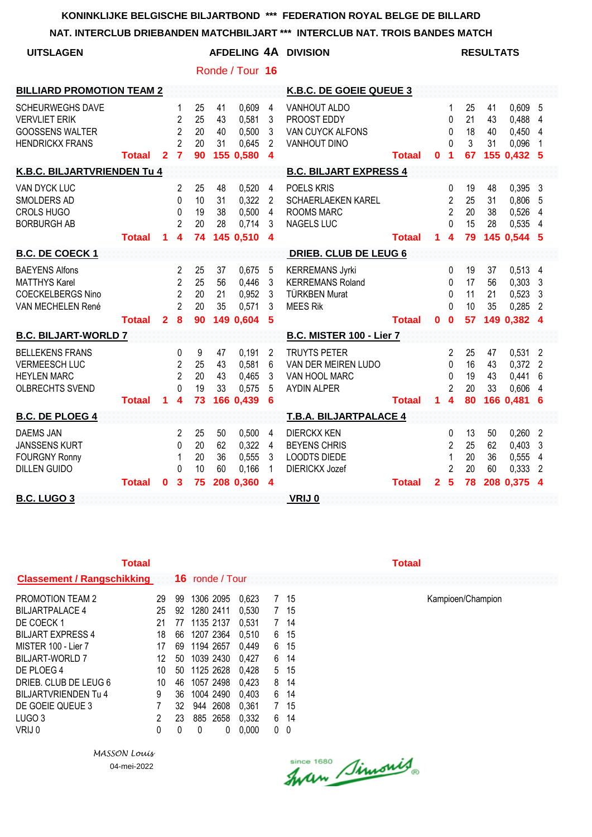**NAT. INTERCLUB DRIEBANDEN MATCHBILJART \*\*\* INTERCLUB NAT. TROIS BANDES MATCH**

| <b>UITSLAGEN</b>                                                                                    |               |                |                                                                                      |                            |                      |                                               |                                                                | AFDELING 4A DIVISION                                                                         |               |              |                                                                              |                            | <b>RESULTATS</b>     |                                                         |                                                                       |
|-----------------------------------------------------------------------------------------------------|---------------|----------------|--------------------------------------------------------------------------------------|----------------------------|----------------------|-----------------------------------------------|----------------------------------------------------------------|----------------------------------------------------------------------------------------------|---------------|--------------|------------------------------------------------------------------------------|----------------------------|----------------------|---------------------------------------------------------|-----------------------------------------------------------------------|
|                                                                                                     |               |                |                                                                                      |                            |                      | Ronde / Tour 16                               |                                                                |                                                                                              |               |              |                                                                              |                            |                      |                                                         |                                                                       |
| <b>BILLIARD PROMOTION TEAM 2</b>                                                                    |               |                |                                                                                      |                            |                      |                                               |                                                                | K.B.C. DE GOEIE QUEUE 3                                                                      |               |              |                                                                              |                            |                      |                                                         |                                                                       |
| <b>SCHEURWEGHS DAVE</b><br><b>VERVLIET ERIK</b><br><b>GOOSSENS WALTER</b><br><b>HENDRICKX FRANS</b> | <b>Totaal</b> | $\overline{2}$ | $\mathbf{1}$<br>$\overline{2}$<br>$\overline{2}$<br>$\overline{2}$<br>$\overline{7}$ | 25<br>25<br>20<br>20<br>90 | 41<br>43<br>40<br>31 | 0,609<br>0,581<br>0,500<br>0.645<br>155 0,580 | 4<br>3<br>3<br>$\mathcal{P}$<br>$\boldsymbol{A}$               | VANHOUT ALDO<br>PROOST EDDY<br>VAN CUYCK ALFONS<br><b>VANHOUT DINO</b>                       | <b>Totaal</b> | 0            | $\mathbf{1}$<br>$\Omega$<br>$\Omega$<br>$\Omega$<br>1                        | 25<br>21<br>18<br>3<br>67  | 41<br>43<br>40<br>31 | $0,609$ 5<br>0,488<br>$0,450$ 4<br>0,096<br>155 0,432 5 | $\overline{4}$<br>$\overline{\phantom{1}}$                            |
| K.B.C. BILJARTVRIENDEN Tu 4                                                                         |               |                |                                                                                      |                            |                      |                                               |                                                                | <b>B.C. BILJART EXPRESS 4</b>                                                                |               |              |                                                                              |                            |                      |                                                         |                                                                       |
| VAN DYCK LUC<br>SMOLDERS AD<br><b>CROLS HUGO</b><br><b>BORBURGH AB</b>                              | <b>Totaal</b> | 1.             | 2<br>0<br>0<br>$\mathfrak{p}$<br>$\overline{\mathbf{4}}$                             | 25<br>10<br>19<br>20<br>74 | 48<br>31<br>38<br>28 | 0,520<br>0,322<br>0,500<br>0,714<br>145 0,510 | 4<br>$\overline{2}$<br>$\overline{4}$<br>3<br>$\boldsymbol{4}$ | POELS KRIS<br><b>SCHAERLAEKEN KAREL</b><br><b>ROOMS MARC</b><br><b>NAGELS LUC</b>            | Totaal        | 1.           | 0<br>$\overline{2}$<br>$\overline{2}$<br>$\Omega$<br>$\overline{\mathbf{4}}$ | 19<br>25<br>20<br>15<br>79 | 48<br>31<br>38<br>28 | 0,395<br>0,806<br>0,526<br>0,535<br>145 0.544           | - 3<br>5<br>$\overline{4}$<br>$\overline{4}$<br>- 5                   |
| <b>B.C. DE COECK1</b>                                                                               |               |                |                                                                                      |                            |                      |                                               |                                                                | <b>DRIEB. CLUB DE LEUG 6</b>                                                                 |               |              |                                                                              |                            |                      |                                                         |                                                                       |
| <b>BAEYENS Alfons</b><br><b>MATTHYS Karel</b><br><b>COECKELBERGS Nino</b><br>VAN MECHELEN René      |               |                | 2<br>$\overline{2}$<br>$\overline{2}$<br>$\overline{2}$                              | 25<br>25<br>20<br>20       | 37<br>56<br>21<br>35 | 0,675<br>0,446<br>0,952<br>0,571              | 5<br>3<br>3<br>3                                               | <b>KERREMANS Jyrki</b><br><b>KERREMANS Roland</b><br><b>TÜRKBEN Murat</b><br><b>MEES Rik</b> |               |              | 0<br>0<br>$\Omega$<br>$\Omega$                                               | 19<br>17<br>11<br>10       | 37<br>56<br>21<br>35 | $0,513$ 4<br>$0,303$ 3<br>0,523<br>0,285                | $\overline{\mathbf{3}}$<br>$\overline{2}$                             |
| <b>B.C. BILJART-WORLD 7</b>                                                                         | Totaal        | $\overline{2}$ | 8                                                                                    | 90                         |                      | 149 0,604                                     | 5                                                              | <b>B.C. MISTER 100 - Lier 7</b>                                                              | <b>Totaal</b> | 0            | $\mathbf{0}$                                                                 | 57                         |                      | 149 0,382 4                                             |                                                                       |
| <b>BELLEKENS FRANS</b><br><b>VERMEESCH LUC</b><br><b>HEYLEN MARC</b><br><b>OLBRECHTS SVEND</b>      | <b>Totaal</b> | 1              | 0<br>$\overline{c}$<br>$\overline{2}$<br>$\Omega$<br>4                               | 9<br>25<br>20<br>19<br>73  | 47<br>43<br>43<br>33 | 0,191<br>0,581<br>0,465<br>0,575<br>166 0.439 | $\overline{2}$<br>6<br>3<br>5<br>6                             | <b>TRUYTS PETER</b><br>VAN DER MEIREN LUDO<br>VAN HOOL MARC<br><b>AYDIN ALPER</b>            | <b>Totaal</b> | $\mathbf{1}$ | $\overline{2}$<br>0<br>$\Omega$<br>$\overline{2}$<br>$\boldsymbol{4}$        | 25<br>16<br>19<br>20<br>80 | 47<br>43<br>43<br>33 | 0,531<br>0,372<br>0,441<br>0,606<br>166 0,481           | $\overline{2}$<br>$\overline{2}$<br>6<br>$\overline{4}$<br>6          |
| <b>B.C. DE PLOEG 4</b>                                                                              |               |                |                                                                                      |                            |                      |                                               |                                                                | <b>T.B.A. BILJARTPALACE 4</b>                                                                |               |              |                                                                              |                            |                      |                                                         |                                                                       |
| <b>DAEMS JAN</b><br><b>JANSSENS KURT</b><br><b>FOURGNY Ronny</b><br><b>DILLEN GUIDO</b>             |               |                | 2<br>0<br>$\Omega$                                                                   | 25<br>20<br>20<br>10       | 50<br>62<br>36<br>60 | 0,500<br>0,322<br>0,555<br>0,166              | 4<br>4<br>3<br>$\mathbf{1}$                                    | <b>DIERCKX KEN</b><br><b>BEYENS CHRIS</b><br><b>LOODTS DIEDE</b><br><b>DIERICKX Jozef</b>    |               |              | $\Omega$<br>$\mathfrak{p}$<br>1<br>$\overline{c}$                            | 13<br>25<br>20<br>20       | 50<br>62<br>36<br>60 | 0,260<br>0,403<br>0,555<br>0,333                        | $\overline{\phantom{0}}^2$<br>- 3<br>$\overline{4}$<br>$\overline{2}$ |
| <b>B.C. LUGO 3</b>                                                                                  | <b>Totaal</b> | 0              | 3                                                                                    | 75                         |                      | 208 0,360                                     | $\boldsymbol{4}$                                               | VRIJ 0                                                                                       | <b>Totaal</b> | $\mathbf{2}$ | 5                                                                            | 78                         |                      | 208 0,375                                               | $\boldsymbol{4}$                                                      |

| <b>Totaal</b>                     |    |    |                        |   |       |   |      | Totaal |
|-----------------------------------|----|----|------------------------|---|-------|---|------|--------|
| <b>Classement / Rangschikking</b> |    |    | <b>16</b> ronde / Tour |   |       |   |      |        |
| <b>PROMOTION TEAM 2</b>           | 29 | 99 | 1306 2095              |   | 0,623 | 7 | 15   |        |
| <b>BILJARTPALACE 4</b>            | 25 | 92 | 1280 2411              |   | 0.530 | 7 | 15   |        |
| DE COECK 1                        | 21 | 77 | 1135 2137              |   | 0.531 | 7 | 14   |        |
| <b>BILJART EXPRESS 4</b>          | 18 | 66 | 1207 2364              |   | 0.510 | 6 | 15   |        |
| MISTER 100 - Lier 7               | 17 | 69 | 1194 2657              |   | 0.449 | 6 | 15   |        |
| <b>BILJART-WORLD 7</b>            | 12 | 50 | 1039 2430              |   | 0,427 | 6 | 14   |        |
| DE PLOEG 4                        | 10 | 50 | 1125 2628              |   | 0,428 |   | 5 15 |        |
| DRIEB. CLUB DE LEUG 6             | 10 | 46 | 1057 2498              |   | 0.423 | 8 | 14   |        |
| BILJARTVRIENDEN Tu 4              | 9  | 36 | 1004 2490              |   | 0,403 | 6 | 14   |        |
| DE GOEIE QUEUE 3                  | 7  | 32 | 944 2608               |   | 0,361 | 7 | 15   |        |
| LUGO <sub>3</sub>                 | 2  | 23 | 885 2658               |   | 0,332 | 6 | 14   |        |
| VRIJ 0                            | 0  | 0  | 0                      | 0 | 0,000 | 0 | 0    |        |

*MASSON Louis* 04-mei-2022

Since 1680 Simonis

5 29 1306 2097 12:33 2096 2097 2098 2097 2098 2097 2098 2097 2098 2097 2096 2097 2097 2098 2097 209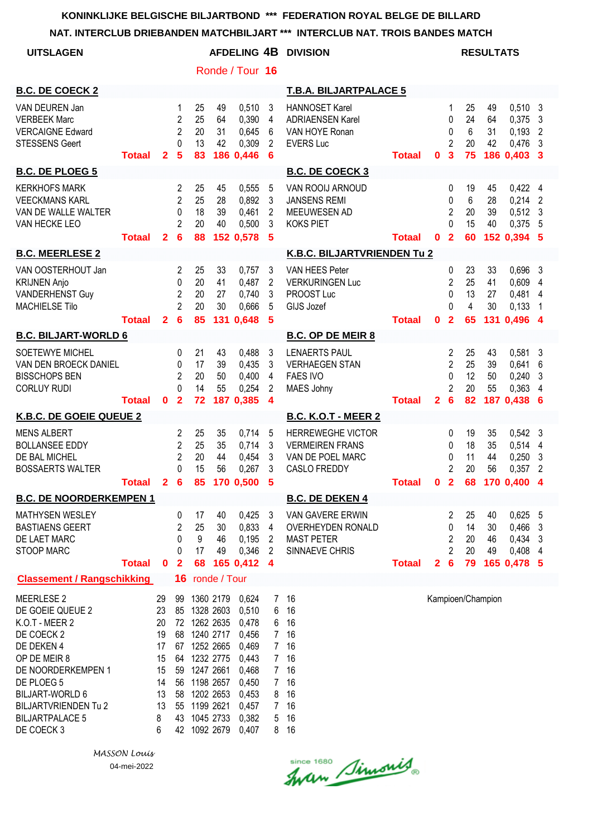**NAT. INTERCLUB DRIEBANDEN MATCHBILJART \*\*\* INTERCLUB NAT. TROIS BANDES MATCH**

| NAI. INTERCLUB DRIEBANDEN MATCHBILJART                                                                                                                                                                                                   |               |                                                                    |                                                                 |                                                                                                                                                                           |                      |                                                                                                          |                                                                                           | AN INTERCLUB NAT. TROIS BANDES MATCH                                                          |               |              |                                                                                |                                        |                             |                                                            |                                                |
|------------------------------------------------------------------------------------------------------------------------------------------------------------------------------------------------------------------------------------------|---------------|--------------------------------------------------------------------|-----------------------------------------------------------------|---------------------------------------------------------------------------------------------------------------------------------------------------------------------------|----------------------|----------------------------------------------------------------------------------------------------------|-------------------------------------------------------------------------------------------|-----------------------------------------------------------------------------------------------|---------------|--------------|--------------------------------------------------------------------------------|----------------------------------------|-----------------------------|------------------------------------------------------------|------------------------------------------------|
| <b>UITSLAGEN</b>                                                                                                                                                                                                                         |               |                                                                    |                                                                 |                                                                                                                                                                           |                      |                                                                                                          |                                                                                           | AFDELING 4B DIVISION                                                                          |               |              |                                                                                |                                        | <b>RESULTATS</b>            |                                                            |                                                |
|                                                                                                                                                                                                                                          |               |                                                                    |                                                                 |                                                                                                                                                                           |                      | Ronde / Tour 16                                                                                          |                                                                                           |                                                                                               |               |              |                                                                                |                                        |                             |                                                            |                                                |
| <b>B.C. DE COECK 2</b>                                                                                                                                                                                                                   |               |                                                                    |                                                                 |                                                                                                                                                                           |                      |                                                                                                          |                                                                                           | <b>T.B.A. BILJARTPALACE 5</b>                                                                 |               |              |                                                                                |                                        |                             |                                                            |                                                |
| VAN DEUREN Jan<br><b>VERBEEK Marc</b><br><b>VERCAIGNE Edward</b><br><b>STESSENS Geert</b>                                                                                                                                                | <b>Totaal</b> | $\overline{2}$                                                     | 1<br>$\overline{2}$<br>$\overline{2}$<br>$\Omega$<br>5          | 25<br>25<br>20<br>13<br>83                                                                                                                                                | 49<br>64<br>31<br>42 | 0,510<br>0,390<br>0,645<br>0,309<br>186 0,446                                                            | 3<br>4<br>6<br>2<br>6                                                                     | <b>HANNOSET Karel</b><br><b>ADRIAENSEN Karel</b><br>VAN HOYE Ronan<br><b>EVERS Luc</b>        | <b>Totaal</b> | $\bf{0}$     | 1<br>$\mathbf{0}$<br>$\mathbf{0}$<br>$\overline{2}$<br>$\overline{\mathbf{3}}$ | 25<br>24<br>6<br>20<br>75              | 49<br>64<br>31<br>42        | $0,510$ 3<br>0,375<br>0,193<br>0,476<br>186 0,403 3        | $\mathbf{3}$<br>$\overline{2}$<br>$\mathbf{3}$ |
| <b>B.C. DE PLOEG 5</b>                                                                                                                                                                                                                   |               |                                                                    |                                                                 |                                                                                                                                                                           |                      |                                                                                                          |                                                                                           | <b>B.C. DE COECK 3</b>                                                                        |               |              |                                                                                |                                        |                             |                                                            |                                                |
| <b>KERKHOFS MARK</b><br><b>VEECKMANS KARL</b><br>VAN DE WALLE WALTER<br>VAN HECKE LEO                                                                                                                                                    | <b>Totaal</b> | $\overline{2}$                                                     | 2<br>$\overline{2}$<br>0<br>$\overline{2}$<br>6                 | 25<br>25<br>18<br>20<br>88                                                                                                                                                | 45<br>28<br>39<br>40 | 0,555<br>0,892<br>0,461<br>0,500<br>152 0,578                                                            | 5<br>3<br>2<br>3<br>5                                                                     | VAN ROOIJ ARNOUD<br><b>JANSENS REMI</b><br>MEEUWESEN AD<br><b>KOKS PIET</b>                   | <b>Totaal</b> | $\mathbf 0$  | 0<br>$\mathbf{0}$<br>$\overline{2}$<br>$\Omega$<br>$\overline{2}$              | 19<br>6<br>20<br>15<br>60              | 45<br>28<br>39<br>40        | 0,422 4<br>0,214<br>$0,512$ 3<br>0,375<br>152 0,394 5      | 2<br>5                                         |
| <b>B.C. MEERLESE 2</b>                                                                                                                                                                                                                   |               |                                                                    |                                                                 |                                                                                                                                                                           |                      |                                                                                                          |                                                                                           | K.B.C. BILJARTVRIENDEN Tu 2                                                                   |               |              |                                                                                |                                        |                             |                                                            |                                                |
| VAN OOSTERHOUT Jan<br><b>KRIJNEN Anjo</b><br><b>VANDERHENST Guy</b><br><b>MACHIELSE Tilo</b>                                                                                                                                             | <b>Totaal</b> | $\mathbf{2}$                                                       | 2<br>0<br>$\overline{2}$<br>$\overline{2}$<br>$6\phantom{1}6$   | 25<br>20<br>20<br>20<br>85                                                                                                                                                | 33<br>41<br>27<br>30 | 0,757<br>0,487<br>0,740<br>0,666<br>131 0,648                                                            | 3<br>$\overline{2}$<br>3<br>5<br>$5\phantom{1}$                                           | VAN HEES Peter<br><b>VERKURINGEN Luc</b><br>PROOST Luc<br>GIJS Jozef                          | <b>Totaal</b> | 0            | 0<br>$\overline{c}$<br>$\mathbf 0$<br>$\mathbf 0$<br>$\overline{2}$            | 23<br>25<br>13<br>$\overline{4}$<br>65 | 33<br>41<br>27<br>30<br>131 | 0,696<br>0,609<br>0,481<br>0,133<br>$0,496$ 4              | 3<br>4<br>4<br>1                               |
| <b>B.C. BILJART-WORLD 6</b>                                                                                                                                                                                                              |               |                                                                    |                                                                 |                                                                                                                                                                           |                      |                                                                                                          |                                                                                           | <b>B.C. OP DE MEIR 8</b>                                                                      |               |              |                                                                                |                                        |                             |                                                            |                                                |
| <b>SOETEWYE MICHEL</b><br>VAN DEN BROECK DANIEL<br><b>BISSCHOPS BEN</b><br><b>CORLUY RUDI</b>                                                                                                                                            | <b>Totaal</b> | $\mathbf{0}$                                                       | 0<br>0<br>$\overline{2}$<br>0<br>$\overline{2}$                 | 21<br>17<br>20<br>14<br>72                                                                                                                                                | 43<br>39<br>50<br>55 | 0,488<br>0,435<br>0,400<br>0,254<br>187 0,385                                                            | 3<br>3<br>4<br>2<br>$\overline{\mathbf{4}}$                                               | <b>LENAERTS PAUL</b><br><b>VERHAEGEN STAN</b><br><b>FAES IVO</b><br>MAES Johny                | <b>Totaal</b> | $\mathbf{2}$ | 2<br>$\overline{2}$<br>0<br>$\overline{2}$<br>$6\phantom{1}6$                  | 25<br>25<br>12<br>20<br>82             | 43<br>39<br>50<br>55<br>187 | $0,581$ 3<br>0,641<br>0,240<br>0,363<br>0,438              | 6<br>3<br>$\overline{4}$<br>6                  |
| K.B.C. DE GOEIE QUEUE 2                                                                                                                                                                                                                  |               |                                                                    |                                                                 |                                                                                                                                                                           |                      |                                                                                                          |                                                                                           | <b>B.C. K.O.T - MEER 2</b>                                                                    |               |              |                                                                                |                                        |                             |                                                            |                                                |
| <b>MENS ALBERT</b><br><b>BOLLANSEE EDDY</b><br>DE BAL MICHEL<br><b>BOSSAERTS WALTER</b>                                                                                                                                                  | <b>Totaal</b> |                                                                    | 2<br>$\overline{2}$<br>$\overline{2}$<br>$\Omega$<br>$2\quad 6$ | 25<br>25<br>20<br>15                                                                                                                                                      | 35<br>35<br>44<br>56 | 0,714<br>0,714<br>0,454<br>0,267<br>85 170 0,500 5                                                       | -5<br>3<br>3<br>3                                                                         | <b>HERREWEGHE VICTOR</b><br><b>VERMEIREN FRANS</b><br>VAN DE POEL MARC<br><b>CASLO FREDDY</b> | <b>Totaal</b> |              | 0<br>0<br>$\mathbf{0}$<br>$\overline{2}$                                       | 19<br>18<br>11<br>20                   | 35<br>35<br>44<br>56        | $0,542$ 3<br>0,514<br>0,250<br>0,357<br>0 2 68 170 0,400 4 | 4<br>3<br>$\overline{2}$                       |
| <b>B.C. DE NOORDERKEMPEN 1</b>                                                                                                                                                                                                           |               |                                                                    |                                                                 |                                                                                                                                                                           |                      |                                                                                                          |                                                                                           | <b>B.C. DE DEKEN 4</b>                                                                        |               |              |                                                                                |                                        |                             |                                                            |                                                |
| MATHYSEN WESLEY<br><b>BASTIAENS GEERT</b><br>DE LAET MARC<br><b>STOOP MARC</b>                                                                                                                                                           | <b>Totaal</b> | $\mathbf{0}$                                                       | 0<br>2<br>0<br>0<br>$\overline{2}$                              | 17<br>25<br>9<br>17<br>68                                                                                                                                                 | 40<br>30<br>46<br>49 | 0,425<br>0,833<br>0,195<br>0,346<br>165 0,412 4                                                          | 3<br>4<br>$\overline{2}$<br>$\overline{2}$                                                | VAN GAVERE ERWIN<br><b>OVERHEYDEN RONALD</b><br><b>MAST PETER</b><br>SINNAEVE CHRIS           | <b>Totaal</b> | $\mathbf{2}$ | 2<br>$\pmb{0}$<br>$\overline{c}$<br>$\overline{2}$<br>$6\phantom{1}6$          | 25<br>14<br>20<br>20<br>79             | 40<br>30<br>46<br>49        | $0,625$ 5<br>0,466<br>0,434<br>0,408<br>165 0,478 5        | 3<br>3<br>$\overline{4}$                       |
| <b>Classement / Rangschikking</b>                                                                                                                                                                                                        |               |                                                                    |                                                                 | 16 ronde / Tour                                                                                                                                                           |                      |                                                                                                          |                                                                                           |                                                                                               |               |              |                                                                                |                                        |                             |                                                            |                                                |
| <b>MEERLESE 2</b><br>DE GOEIE QUEUE 2<br>K.O.T - MEER 2<br>DE COECK 2<br>DE DEKEN 4<br>OP DE MEIR 8<br>DE NOORDERKEMPEN 1<br>DE PLOEG 5<br><b>BILJART-WORLD 6</b><br><b>BILJARTVRIENDEN Tu 2</b><br><b>BILJARTPALACE 5</b><br>DE COECK 3 |               | 29<br>23<br>20<br>19<br>17<br>15<br>15<br>14<br>13<br>13<br>8<br>6 | 43<br>42                                                        | 99 1360 2179<br>85 1328 2603<br>72 1262 2635<br>68 1240 2717<br>67 1252 2665<br>64 1232 2775<br>59 1247 2661<br>56 1198 2657<br>58 1202 2653<br>55 1199 2621<br>1045 2733 | 1092 2679            | 0,624<br>0,510<br>0,478<br>0,456<br>0,469<br>0,443<br>0,468<br>0,450<br>0,453<br>0,457<br>0,382<br>0,407 | $\overline{7}$<br>6<br>6<br>7 <sup>7</sup><br>$7\overline{ }$<br>8<br>7 <sup>7</sup><br>5 | 16<br>16<br>16<br>16<br>7 16<br>7 16<br>7 16<br>16<br>16<br>16<br>16<br>8 16                  |               |              |                                                                                |                                        | Kampioen/Champion           |                                                            |                                                |

since 1680 Simonis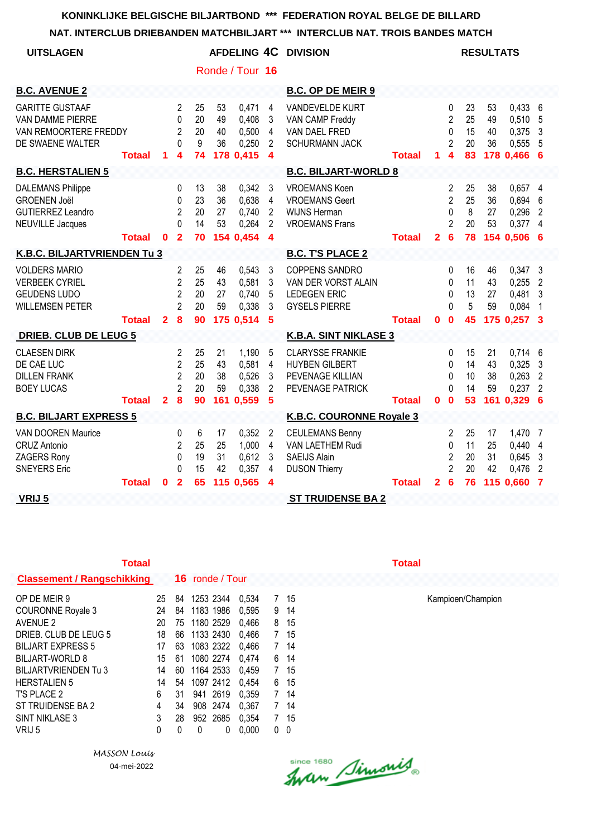**NAT. INTERCLUB DRIEBANDEN MATCHBILJART \*\*\* INTERCLUB NAT. TROIS BANDES MATCH**

| <b>UITSLAGEN</b>                                                                                              |               |                |                                                                      |                            |                      |                                               |                                                   | <b>AFDELING 4C DIVISION</b>                                                                                              |               |              |                                                                            |                            | <b>RESULTATS</b>            |                                                         |                                                      |
|---------------------------------------------------------------------------------------------------------------|---------------|----------------|----------------------------------------------------------------------|----------------------------|----------------------|-----------------------------------------------|---------------------------------------------------|--------------------------------------------------------------------------------------------------------------------------|---------------|--------------|----------------------------------------------------------------------------|----------------------------|-----------------------------|---------------------------------------------------------|------------------------------------------------------|
|                                                                                                               |               |                |                                                                      |                            |                      | Ronde / Tour 16                               |                                                   |                                                                                                                          |               |              |                                                                            |                            |                             |                                                         |                                                      |
| <b>B.C. AVENUE 2</b>                                                                                          |               |                |                                                                      |                            |                      |                                               |                                                   | <b>B.C. OP DE MEIR 9</b>                                                                                                 |               |              |                                                                            |                            |                             |                                                         |                                                      |
| <b>GARITTE GUSTAAF</b><br><b>VAN DAMME PIERRE</b><br>VAN REMOORTERE FREDDY<br>DE SWAENE WALTER                | <b>Totaal</b> | 1.             | 2<br>$\Omega$<br>$\overline{2}$<br>U<br>4                            | 25<br>20<br>20<br>9<br>74  | 53<br>49<br>40<br>36 | 0,471<br>0,408<br>0,500<br>0,250<br>178 0,415 | 4<br>3<br>4<br>$\overline{2}$<br>$\boldsymbol{4}$ | <b>VANDEVELDE KURT</b><br>VAN CAMP Freddy<br>VAN DAEL FRED<br><b>SCHURMANN JACK</b>                                      | <b>Totaal</b> | 1            | 0<br>$\overline{2}$<br>$\Omega$<br>$\overline{2}$<br>$\overline{4}$        | 23<br>25<br>15<br>20<br>83 | 53<br>49<br>40<br>36        | 0.4336<br>$0,510$ 5<br>0,375<br>0,555<br>178 0,466      | 3<br>5<br>6                                          |
| <b>B.C. HERSTALIEN 5</b>                                                                                      |               |                |                                                                      |                            |                      |                                               |                                                   | <b>B.C. BILJART-WORLD 8</b>                                                                                              |               |              |                                                                            |                            |                             |                                                         |                                                      |
| <b>DALEMANS Philippe</b><br><b>GROENEN Joël</b><br><b>GUTIERREZ Leandro</b><br><b>NEUVILLE Jacques</b>        | <b>Totaal</b> | $\bf{0}$       | $\Omega$<br>$\Omega$<br>$\mathfrak{p}$<br>$\Omega$<br>$\overline{2}$ | 13<br>23<br>20<br>14<br>70 | 38<br>36<br>27<br>53 | 0,342<br>0.638<br>0,740<br>0,264<br>154 0,454 | 3<br>4<br>2<br>2<br>$\boldsymbol{4}$              | <b>VROEMANS Koen</b><br><b>VROEMANS Geert</b><br><b>WIJNS Herman</b><br><b>VROEMANS Frans</b>                            | <b>Totaal</b> | $\mathbf{2}$ | 2<br>$\overline{2}$<br>$\Omega$<br>$\overline{2}$<br>$6\phantom{1}6$       | 25<br>25<br>8<br>20<br>78  | 38<br>36<br>27<br>53        | $0,657$ 4<br>0,694<br>0,296<br>$0,377$ 4<br>154 0,506 6 | 6<br>$\overline{2}$                                  |
| K.B.C. BILJARTVRIENDEN Tu 3                                                                                   |               |                |                                                                      |                            |                      |                                               |                                                   | <b>B.C. T'S PLACE 2</b>                                                                                                  |               |              |                                                                            |                            |                             |                                                         |                                                      |
| <b>VOLDERS MARIO</b><br><b>VERBEEK CYRIEL</b><br><b>GEUDENS LUDO</b><br><b>WILLEMSEN PETER</b>                |               |                | $\overline{2}$<br>$\overline{2}$<br>$\overline{2}$<br>$\overline{2}$ | 25<br>25<br>20<br>20       | 46<br>43<br>27<br>59 | 0,543<br>0,581<br>0,740<br>0,338              | 3<br>3<br>5<br>3                                  | <b>COPPENS SANDRO</b><br>VAN DER VORST ALAIN<br><b>LEDEGEN ERIC</b><br><b>GYSELS PIERRE</b>                              |               |              | 0<br>$\Omega$<br>0<br>$\Omega$                                             | 16<br>11<br>13<br>5        | 46<br>43<br>27<br>59        | 0,347<br>0,255<br>0,481<br>0,084                        | $\overline{3}$<br>$\overline{2}$<br>3<br>$\mathbf 1$ |
|                                                                                                               | <b>Totaal</b> | $\overline{2}$ | 8                                                                    | 90                         |                      | 175 0,514                                     | $\sqrt{5}$                                        |                                                                                                                          | <b>Totaal</b> | $\mathbf{0}$ | $\mathbf 0$                                                                | 45                         |                             | 175 0.257 3                                             |                                                      |
| <b>DRIEB. CLUB DE LEUG 5</b><br><b>CLAESEN DIRK</b><br>DE CAE LUC<br><b>DILLEN FRANK</b><br><b>BOEY LUCAS</b> | <b>Totaal</b> | $\overline{2}$ | 2<br>$\overline{2}$<br>$\overline{2}$<br>$\overline{2}$<br>8         | 25<br>25<br>20<br>20<br>90 | 21<br>43<br>38<br>59 | 1,190<br>0,581<br>0,526<br>0,338<br>161 0,559 | 5<br>$\overline{4}$<br>3<br>$\overline{2}$<br>5   | <b>K.B.A. SINT NIKLASE 3</b><br><b>CLARYSSE FRANKIE</b><br><b>HUYBEN GILBERT</b><br>PEVENAGE KILLIAN<br>PEVENAGE PATRICK | <b>Totaal</b> | $\mathbf{0}$ | 0<br>0<br>0<br>0<br>$\mathbf 0$                                            | 15<br>14<br>10<br>14<br>53 | 21<br>43<br>38<br>59<br>161 | 0,714<br>0,325<br>0,263<br>0,237<br>0,329               | 6<br>3<br>$\overline{2}$<br>$\overline{2}$<br>6      |
| <b>B.C. BILJART EXPRESS 5</b>                                                                                 |               |                |                                                                      |                            |                      |                                               |                                                   | K.B.C. COURONNE Royale 3                                                                                                 |               |              |                                                                            |                            |                             |                                                         |                                                      |
| VAN DOOREN Maurice<br><b>CRUZ Antonio</b><br>ZAGERS Rony<br><b>SNEYERS Eric</b>                               | <b>Totaal</b> | $\bf{0}$       | 0<br>$\overline{2}$<br>0<br>$\Omega$<br>$\overline{2}$               | 6<br>25<br>19<br>15<br>65  | 17<br>25<br>31<br>42 | 0,352<br>1,000<br>0,612<br>0,357<br>115 0,565 | $\overline{2}$<br>4<br>3<br>4<br>$\boldsymbol{4}$ | <b>CEULEMANS Benny</b><br>VAN LAETHEM Rudi<br><b>SAEIJS Alain</b><br><b>DUSON Thierry</b>                                | <b>Totaal</b> | $\mathbf{2}$ | $\overline{2}$<br>0<br>$\overline{2}$<br>$\overline{2}$<br>$6\phantom{a}6$ | 25<br>11<br>20<br>20<br>76 | 17<br>25<br>31<br>42        | 1,470<br>0,440<br>0,645<br>0,476<br>115 0,660           | - 7<br>4<br>3<br>$\overline{2}$<br>$\overline{7}$    |
| VRIJ 5                                                                                                        |               |                |                                                                      |                            |                      |                                               |                                                   | <b>ST TRUIDENSE BA 2</b>                                                                                                 |               |              |                                                                            |                            |                             |                                                         |                                                      |

| <b>Totaal</b>                     |    |    |                        |   |       |                |     | Totaal |
|-----------------------------------|----|----|------------------------|---|-------|----------------|-----|--------|
| <b>Classement / Rangschikking</b> |    |    | <b>16</b> ronde / Tour |   |       |                |     |        |
| OP DE MEIR 9                      | 25 | 84 | 1253 2344              |   | 0,534 | $7\phantom{.}$ | -15 |        |
| <b>COURONNE Royale 3</b>          | 24 | 84 | 1183 1986              |   | 0.595 | 9              | 14  |        |
| AVENUE 2                          | 20 | 75 | 1180 2529              |   | 0.466 | 8              | 15  |        |
| DRIEB. CLUB DE LEUG 5             | 18 | 66 | 1133 2430              |   | 0,466 | $7\phantom{.}$ | 15  |        |
| <b>BILJART EXPRESS 5</b>          | 17 | 63 | 1083 2322              |   | 0.466 | $7^{\circ}$    | 14  |        |
| BILJART-WORLD 8                   | 15 | 61 | 1080 2274              |   | 0.474 | 6              | 14  |        |
| BILJARTVRIENDEN Tu 3              | 14 | 60 | 1164 2533              |   | 0.459 | $7\phantom{.}$ | 15  |        |
| <b>HERSTALIEN 5</b>               | 14 | 54 | 1097 2412              |   | 0.454 | 6              | 15  |        |
| T'S PLACE 2                       | 6  | 31 | 941 2619               |   | 0,359 | $7^{\circ}$    | 14  |        |
| ST TRUIDENSE BA 2                 | 4  | 34 | 908 2474               |   | 0,367 | 7              | 14  |        |
| SINT NIKLASE 3                    | 3  | 28 | 952 2685               |   | 0,354 | 7              | 15  |        |
| VRIJ 5                            | 0  | 0  | 0                      | 0 | 0,000 | 0              | 0   |        |

*MASSON Louis* 04-mei-2022

OP DE MEIR 9 25 84 1253 2344 0,534 7 15 Kampioen/Champion

Since 1680 Simonis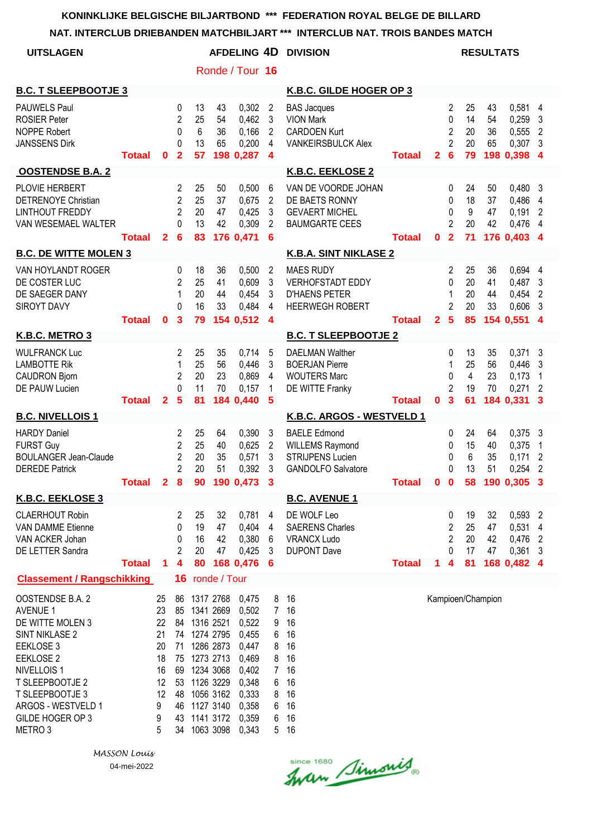**NAT. INTERCLUB DRIEBANDEN MATCHBILJART \*\*\* INTERCLUB NAT. TROIS BANDES MATCH**

| NAT. INTERCLUB DRIEBANDEN MATCHBILJART ***  INTERCLUB NAT. TROIS BANDES MATCH                                                                                                                                                              |               |                                                                   |                                                                           |                                                                                                                                                                                        |                      |                                                                                                          |                                                                                                 |                                                                                                       |               |                  |                                                                                       |                                        |                             |                                                           |                                                   |
|--------------------------------------------------------------------------------------------------------------------------------------------------------------------------------------------------------------------------------------------|---------------|-------------------------------------------------------------------|---------------------------------------------------------------------------|----------------------------------------------------------------------------------------------------------------------------------------------------------------------------------------|----------------------|----------------------------------------------------------------------------------------------------------|-------------------------------------------------------------------------------------------------|-------------------------------------------------------------------------------------------------------|---------------|------------------|---------------------------------------------------------------------------------------|----------------------------------------|-----------------------------|-----------------------------------------------------------|---------------------------------------------------|
| <b>UITSLAGEN</b>                                                                                                                                                                                                                           |               |                                                                   | <b>AFDELING 4D DIVISION</b>                                               |                                                                                                                                                                                        |                      |                                                                                                          |                                                                                                 |                                                                                                       |               | <b>RESULTATS</b> |                                                                                       |                                        |                             |                                                           |                                                   |
|                                                                                                                                                                                                                                            |               |                                                                   |                                                                           |                                                                                                                                                                                        |                      | Ronde / Tour 16                                                                                          |                                                                                                 |                                                                                                       |               |                  |                                                                                       |                                        |                             |                                                           |                                                   |
| <b>B.C. T SLEEPBOOTJE 3</b>                                                                                                                                                                                                                |               |                                                                   |                                                                           |                                                                                                                                                                                        |                      |                                                                                                          |                                                                                                 | K.B.C. GILDE HOGER OP 3                                                                               |               |                  |                                                                                       |                                        |                             |                                                           |                                                   |
| <b>PAUWELS Paul</b><br><b>ROSIER Peter</b><br><b>NOPPE Robert</b><br><b>JANSSENS Dirk</b>                                                                                                                                                  | <b>Totaal</b> | 0                                                                 | 0<br>$\overline{2}$<br>$\mathbf 0$<br>$\mathbf 0$<br>$\overline{2}$       | 13<br>25<br>6<br>13<br>57                                                                                                                                                              | 43<br>54<br>36<br>65 | 0,302<br>0,462<br>0,166<br>0,200<br>198 0,287                                                            | $\overline{2}$<br>$\mathfrak{Z}$<br>2<br>4<br>$\overline{\mathbf{4}}$                           | <b>BAS Jacques</b><br><b>VION Mark</b><br><b>CARDOEN Kurt</b><br><b>VANKEIRSBULCK Alex</b>            | <b>Totaal</b> | $\overline{2}$   | $\overline{2}$<br>$\mathbf{0}$<br>$\overline{2}$<br>$\overline{2}$<br>$6\phantom{1}6$ | 25<br>14<br>20<br>20<br>79             | 43<br>54<br>36<br>65        | 0,581 4<br>$0,259$ 3<br>0,555<br>$0,307$ 3<br>198 0,398 4 | $\overline{2}$                                    |
| <b>OOSTENDSE B.A. 2</b>                                                                                                                                                                                                                    |               |                                                                   |                                                                           |                                                                                                                                                                                        |                      |                                                                                                          |                                                                                                 | K.B.C. EEKLOSE 2                                                                                      |               |                  |                                                                                       |                                        |                             |                                                           |                                                   |
| PLOVIE HERBERT<br><b>DETRENOYE Christian</b><br><b>LINTHOUT FREDDY</b><br>VAN WESEMAEL WALTER                                                                                                                                              | <b>Totaal</b> |                                                                   | $\overline{2}$<br>$\overline{2}$<br>$\overline{2}$<br>0<br>2 <sub>6</sub> | 25<br>25<br>20<br>13<br>83                                                                                                                                                             | 50<br>37<br>47<br>42 | 0,500<br>0,675<br>0,425<br>0,309<br>176 0,471                                                            | 6<br>2<br>3<br>2<br>$6\phantom{1}6$                                                             | VAN DE VOORDE JOHAN<br>DE BAETS RONNY<br><b>GEVAERT MICHEL</b><br><b>BAUMGARTE CEES</b>               | <b>Totaal</b> | $\mathbf{0}$     | 0<br>0<br>0<br>$\overline{2}$<br>$\overline{2}$                                       | 24<br>18<br>9<br>20<br>71              | 50<br>37<br>47<br>42        | $0,480$ 3<br>0,486 4<br>0,191<br>0,476 4<br>176 0,403 4   | $\overline{2}$                                    |
| <b>B.C. DE WITTE MOLEN 3</b>                                                                                                                                                                                                               |               |                                                                   |                                                                           |                                                                                                                                                                                        |                      |                                                                                                          |                                                                                                 | <b>K.B.A. SINT NIKLASE 2</b>                                                                          |               |                  |                                                                                       |                                        |                             |                                                           |                                                   |
| VAN HOYLANDT ROGER<br>DE COSTER LUC<br>DE SAEGER DANY<br><b>SIROYT DAVY</b>                                                                                                                                                                | <b>Totaal</b> | 0                                                                 | 0<br>$\overline{2}$<br>1<br>$\Omega$<br>3                                 | 18<br>25<br>20<br>16<br>79                                                                                                                                                             | 36<br>41<br>44<br>33 | 0,500<br>0,609<br>0,454<br>0,484<br>154 0.512                                                            | 2<br>3<br>3<br>4<br>$\overline{\mathbf{4}}$                                                     | <b>MAES RUDY</b><br><b>VERHOFSTADT EDDY</b><br><b>D'HAENS PETER</b><br><b>HEERWEGH ROBERT</b>         | <b>Totaal</b> | $\mathbf{2}$     | 2<br>$\mathbf{0}$<br>1<br>2<br>$5\phantom{1}$                                         | 25<br>20<br>20<br>20<br>85             | 36<br>41<br>44<br>33        | 0,694 4<br>0,487 3<br>0,454<br>0,606 3<br>154 0,551 4     | $\overline{2}$                                    |
| K.B.C. METRO 3                                                                                                                                                                                                                             |               |                                                                   |                                                                           |                                                                                                                                                                                        |                      |                                                                                                          |                                                                                                 | <b>B.C. T SLEEPBOOTJE 2</b>                                                                           |               |                  |                                                                                       |                                        |                             |                                                           |                                                   |
| <b>WULFRANCK Luc</b><br><b>LAMBOTTE Rik</b><br><b>CAUDRON Bjorn</b><br>DE PAUW Lucien                                                                                                                                                      | <b>Totaal</b> | $\mathbf{2}$                                                      | 2<br>1<br>$\overline{2}$<br>$\mathbf 0$<br>5                              | 25<br>25<br>20<br>11<br>81                                                                                                                                                             | 35<br>56<br>23<br>70 | 0,714<br>0,446<br>0,869<br>0,157<br>184 0,440                                                            | 5<br>3<br>$\overline{\mathbf{4}}$<br>1<br>5                                                     | <b>DAELMAN Walther</b><br><b>BOERJAN Pierre</b><br><b>WOUTERS Marc</b><br>DE WITTE Franky             | <b>Totaal</b> | $\mathbf 0$      | 0<br>1<br>0<br>$\overline{c}$<br>$\mathbf{3}$                                         | 13<br>25<br>$\overline{4}$<br>19<br>61 | 35<br>56<br>23<br>70<br>184 | $0,371$ 3<br>0,446<br>0,173<br>0,271<br>0,331             | $\mathbf{3}$<br>$\mathbf{1}$<br>2<br>$\mathbf{3}$ |
| <b>B.C. NIVELLOIS 1</b>                                                                                                                                                                                                                    |               |                                                                   |                                                                           |                                                                                                                                                                                        |                      |                                                                                                          |                                                                                                 | K.B.C. ARGOS - WESTVELD 1                                                                             |               |                  |                                                                                       |                                        |                             |                                                           |                                                   |
| <b>HARDY Daniel</b><br><b>FURST Guy</b><br><b>BOULANGER Jean-Claude</b><br><b>DEREDE Patrick</b>                                                                                                                                           | <b>Totaal</b> | 2 <sup>1</sup>                                                    | 2<br>$\overline{2}$<br>$\overline{2}$<br>$\overline{2}$<br>8              | 25<br>25<br>20<br>20<br>90                                                                                                                                                             | 64<br>40<br>35<br>51 | 0,390<br>0.625<br>0,571<br>0,392<br>190 0,473 3                                                          | 3<br>2<br>3<br>3                                                                                | <b>BAELE Edmond</b><br><b>WILLEMS Raymond</b><br><b>STRIJPENS Lucien</b><br><b>GANDOLFO Salvatore</b> | <b>Totaal</b> | $\mathbf{0}$     | 0<br>0<br>0<br>0<br>$\mathbf{0}$                                                      | 24<br>15<br>6<br>13                    | 64<br>40<br>35<br>51        | $0,375$ 3<br>0,375<br>0,171<br>0,254<br>58 190 0,305 3    | 1<br>$\overline{2}$<br>$\overline{2}$             |
| <b>K.B.C. EEKLOSE 3</b>                                                                                                                                                                                                                    |               |                                                                   |                                                                           |                                                                                                                                                                                        |                      |                                                                                                          |                                                                                                 | <b>B.C. AVENUE 1</b>                                                                                  |               |                  |                                                                                       |                                        |                             |                                                           |                                                   |
| <b>CLAERHOUT Robin</b><br><b>VAN DAMME Etienne</b><br>VAN ACKER Johan<br>DE LETTER Sandra                                                                                                                                                  | <b>Totaal</b> | 1                                                                 | 2<br>0<br>0<br>$\overline{2}$<br>4                                        | 25<br>19<br>16<br>20<br>80                                                                                                                                                             | 32<br>47<br>42<br>47 | 0,781<br>0,404<br>0,380<br>0,425<br>168 0,476                                                            | 4<br>4<br>6<br>3<br>-6                                                                          | DE WOLF Leo<br><b>SAERENS Charles</b><br><b>VRANCX Ludo</b><br><b>DUPONT Dave</b>                     | <b>Totaal</b> | $\mathbf 1$      | 0<br>2<br>2<br>0<br>4                                                                 | 19<br>25<br>20<br>17<br>81             | 32<br>47<br>42<br>47        | $0,593$ 2<br>0,531 4<br>0,476<br>0,361<br>168 0,482 4     | $\overline{2}$<br>-3                              |
| <b>Classement / Rangschikking</b>                                                                                                                                                                                                          |               |                                                                   |                                                                           | 16 ronde / Tour                                                                                                                                                                        |                      |                                                                                                          |                                                                                                 |                                                                                                       |               |                  |                                                                                       |                                        |                             |                                                           |                                                   |
| OOSTENDSE B.A. 2<br><b>AVENUE 1</b><br>DE WITTE MOLEN 3<br><b>SINT NIKLASE 2</b><br>EEKLOSE 3<br>EEKLOSE 2<br>NIVELLOIS <sub>1</sub><br>T SLEEPBOOTJE 2<br>T SLEEPBOOTJE 3<br>ARGOS - WESTVELD 1<br>GILDE HOGER OP 3<br>METRO <sub>3</sub> |               | 25<br>23<br>22<br>21<br>20<br>18<br>16<br>12<br>12<br>9<br>9<br>5 | 71<br>34                                                                  | 86 1317 2768<br>85 1341 2669<br>84 1316 2521<br>74 1274 2795<br>1286 2873<br>75 1273 2713<br>69 1234 3068<br>53 1126 3229<br>48 1056 3162<br>46 1127 3140<br>43 1141 3172<br>1063 3098 |                      | 0,475<br>0,502<br>0,522<br>0,455<br>0,447<br>0,469<br>0,402<br>0,348<br>0,333<br>0,358<br>0,359<br>0,343 | 8<br>$\overline{7}$<br>9<br>6<br>8<br>8<br>$\overline{7}$<br>6<br>8<br>6<br>6<br>5 <sup>5</sup> | 16<br>16<br>16<br>16<br>16<br>16<br>16<br>16<br>16<br>16<br>16<br>16                                  |               |                  |                                                                                       |                                        | Kampioen/Champion           |                                                           |                                                   |

*MASSON Louis* 04-mei-2022

Since 1680 Simonis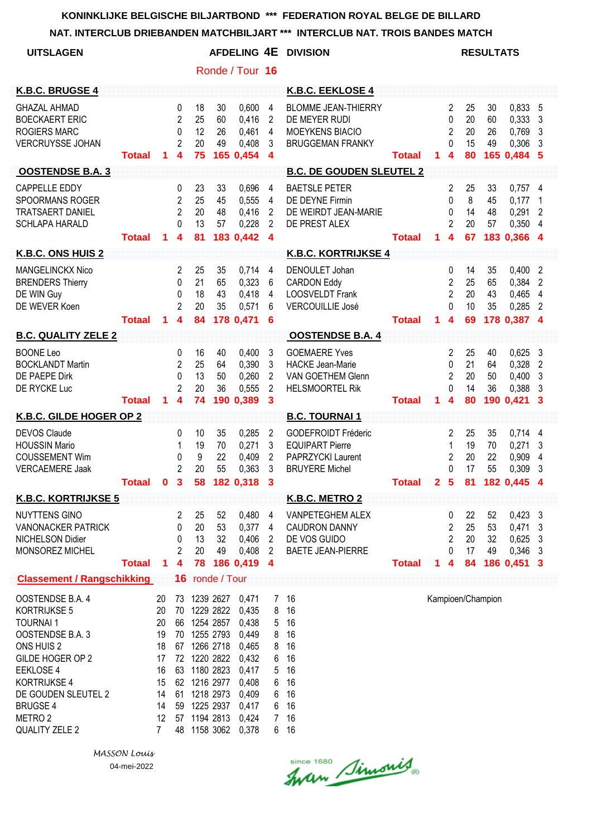**NAT. INTERCLUB DRIEBANDEN MATCHBILJART \*\*\* INTERCLUB NAT. TROIS BANDES MATCH**

| <b>UITSLAGEN</b>                                                                                                                                                                                                                |               |                                                                                  |                                                                       |                            |                                                                                                                                                                         |                                                                                                          |                                                                       | AFDELING 4E DIVISION                                                                               |               |              |                                                                              |                            | <b>RESULTATS</b>     |                                                     |                                            |
|---------------------------------------------------------------------------------------------------------------------------------------------------------------------------------------------------------------------------------|---------------|----------------------------------------------------------------------------------|-----------------------------------------------------------------------|----------------------------|-------------------------------------------------------------------------------------------------------------------------------------------------------------------------|----------------------------------------------------------------------------------------------------------|-----------------------------------------------------------------------|----------------------------------------------------------------------------------------------------|---------------|--------------|------------------------------------------------------------------------------|----------------------------|----------------------|-----------------------------------------------------|--------------------------------------------|
|                                                                                                                                                                                                                                 |               |                                                                                  |                                                                       |                            |                                                                                                                                                                         | Ronde / Tour 16                                                                                          |                                                                       |                                                                                                    |               |              |                                                                              |                            |                      |                                                     |                                            |
| K.B.C. BRUGSE 4                                                                                                                                                                                                                 |               |                                                                                  |                                                                       |                            |                                                                                                                                                                         |                                                                                                          |                                                                       | <b>K.B.C. EEKLOSE 4</b>                                                                            |               |              |                                                                              |                            |                      |                                                     |                                            |
| <b>GHAZAL AHMAD</b><br><b>BOECKAERT ERIC</b><br><b>ROGIERS MARC</b><br><b>VERCRUYSSE JOHAN</b>                                                                                                                                  | <b>Totaal</b> | 1                                                                                | 0<br>2<br>0<br>$\overline{2}$<br>4                                    | 18<br>25<br>12<br>20<br>75 | 30<br>60<br>26<br>49                                                                                                                                                    | 0,600<br>0,416<br>0,461<br>0,408<br>165 0,454                                                            | 4<br>2<br>4<br>3<br>$\boldsymbol{4}$                                  | <b>BLOMME JEAN-THIERRY</b><br>DE MEYER RUDI<br>MOEYKENS BIACIO<br><b>BRUGGEMAN FRANKY</b>          | <b>Totaal</b> | 1.           | 2<br>0<br>2<br>$\Omega$<br>4                                                 | 25<br>20<br>20<br>15<br>80 | 30<br>60<br>26<br>49 | 0,833<br>0,333<br>0,769<br>0,306<br>165 0,484       | 5<br>3<br>3<br>3<br>5                      |
| <b>OOSTENDSE B.A. 3</b>                                                                                                                                                                                                         |               |                                                                                  |                                                                       |                            |                                                                                                                                                                         |                                                                                                          |                                                                       | <b>B.C. DE GOUDEN SLEUTEL 2</b>                                                                    |               |              |                                                                              |                            |                      |                                                     |                                            |
| CAPPELLE EDDY<br><b>SPOORMANS ROGER</b><br><b>TRATSAERT DANIEL</b><br><b>SCHLAPA HARALD</b>                                                                                                                                     | <b>Totaal</b> | 1.                                                                               | 0<br>$\overline{2}$<br>$\overline{2}$<br>0<br>$\overline{\mathbf{4}}$ | 23<br>25<br>20<br>13<br>81 | 33<br>45<br>48<br>57                                                                                                                                                    | 0,696<br>0,555<br>0,416<br>0,228<br>183 0,442                                                            | 4<br>4<br>$\overline{2}$<br>2<br>$\boldsymbol{4}$                     | <b>BAETSLE PETER</b><br>DE DEYNE Firmin<br>DE WEIRDT JEAN-MARIE<br>DE PREST ALEX                   | <b>Totaal</b> | 1.           | 2<br>0<br>0<br>2<br>4                                                        | 25<br>8<br>14<br>20<br>67  | 33<br>45<br>48<br>57 | $0,757$ 4<br>0,177<br>0,291<br>0,350<br>183 0,366 4 | -1<br>$\overline{2}$<br>$\overline{4}$     |
| K.B.C. ONS HUIS 2                                                                                                                                                                                                               |               |                                                                                  |                                                                       |                            |                                                                                                                                                                         |                                                                                                          |                                                                       | <b>K.B.C. KORTRIJKSE 4</b>                                                                         |               |              |                                                                              |                            |                      |                                                     |                                            |
| MANGELINCKX Nico<br><b>BRENDERS Thierry</b><br>DE WIN Guy<br>DE WEVER Koen                                                                                                                                                      | <b>Totaal</b> | 1                                                                                | 2<br>$\Omega$<br>0<br>$\overline{2}$<br>$\overline{\mathbf{4}}$       | 25<br>21<br>18<br>20<br>84 | 35<br>65<br>43<br>35                                                                                                                                                    | 0,714<br>0,323<br>0,418<br>0,571<br>178 0,471                                                            | 4<br>6<br>$\overline{4}$<br>6<br>6                                    | <b>DENOULET Johan</b><br><b>CARDON Eddy</b><br><b>LOOSVELDT Frank</b><br><b>VERCOUILLIE José</b>   | <b>Totaal</b> | 1.           | 0<br>$\overline{2}$<br>$\overline{2}$<br>$\Omega$<br>$\boldsymbol{4}$        | 14<br>25<br>20<br>10<br>69 | 35<br>65<br>43<br>35 | 0,400<br>0,384<br>0,465<br>0,285<br>178 0.387 4     | $\overline{2}$<br>$\overline{2}$<br>4<br>2 |
| <b>B.C. QUALITY ZELE 2</b>                                                                                                                                                                                                      |               |                                                                                  |                                                                       |                            |                                                                                                                                                                         |                                                                                                          |                                                                       | <b>OOSTENDSE B.A. 4</b>                                                                            |               |              |                                                                              |                            |                      |                                                     |                                            |
| <b>BOONE Leo</b><br><b>BOCKLANDT Martin</b><br>DE PAEPE Dirk<br>DE RYCKE Luc                                                                                                                                                    | Totaal        | 1                                                                                | 0<br>2<br>0<br>2<br>$\overline{\mathbf{4}}$                           | 16<br>25<br>13<br>20<br>74 | 40<br>64<br>50<br>36                                                                                                                                                    | 0,400<br>0,390<br>0,260<br>0,555<br>190 0,389                                                            | 3<br>3<br>2<br>$\overline{2}$<br>3                                    | <b>GOEMAERE Yves</b><br><b>HACKE Jean-Marie</b><br>VAN GOETHEM Glenn<br><b>HELSMOORTEL Rik</b>     | <b>Totaal</b> | 1            | 2<br>0<br>2<br>$\Omega$<br>4                                                 | 25<br>21<br>20<br>14<br>80 | 40<br>64<br>50<br>36 | 0,625<br>0,328<br>0,400<br>0,388<br>190 0,421       | 3<br>2<br>3<br>3<br>3                      |
| <b>K.B.C. GILDE HOGER OP 2</b>                                                                                                                                                                                                  |               |                                                                                  |                                                                       |                            |                                                                                                                                                                         |                                                                                                          |                                                                       | <b>B.C. TOURNAI 1</b>                                                                              |               |              |                                                                              |                            |                      |                                                     |                                            |
| <b>DEVOS Claude</b><br><b>HOUSSIN Mario</b><br><b>COUSSEMENT Wim</b><br><b>VERCAEMERE Jaak</b>                                                                                                                                  | <b>Totaal</b> | $\mathbf 0$                                                                      | 0<br>0<br>2<br>$\mathbf{3}$                                           | 10<br>19<br>9<br>20<br>58  | 35<br>70<br>22<br>55                                                                                                                                                    | 0,285<br>0,271<br>0,409<br>0,363<br>182 0,318                                                            | 2<br>3<br>$\overline{2}$<br>3<br>3                                    | <b>GODEFROIDT Fréderic</b><br><b>EQUIPART Pierre</b><br>PAPRZYCKI Laurent<br><b>BRUYERE Michel</b> | <b>Totaal</b> | $\mathbf{2}$ | 2<br>1<br>2<br>$\Omega$<br>$\sqrt{5}$                                        | 25<br>19<br>20<br>17<br>81 | 35<br>70<br>22<br>55 | 0,714<br>0,271<br>0,909<br>0,309<br>182 0,445       | 4<br>3<br>4<br>3<br>4                      |
| <b>K.B.C. KORTRIJKSE 5</b>                                                                                                                                                                                                      |               |                                                                                  |                                                                       |                            |                                                                                                                                                                         |                                                                                                          |                                                                       | K.B.C. METRO 2                                                                                     |               |              |                                                                              |                            |                      |                                                     |                                            |
| NUYTTENS GINO<br><b>VANONACKER PATRICK</b><br>NICHELSON Didier<br>MONSOREZ MICHEL                                                                                                                                               | <b>Totaal</b> | 1                                                                                | 2<br>0<br>0<br>2<br>$\boldsymbol{4}$                                  | 25<br>20<br>13<br>20<br>78 | 52<br>53<br>32<br>49                                                                                                                                                    | 0,480<br>0,377<br>0,406<br>0,408<br>186 0,419                                                            | 4<br>4<br>$\overline{2}$<br>$\overline{2}$<br>$\overline{\mathbf{4}}$ | VANPETEGHEM ALEX<br><b>CAUDRON DANNY</b><br>DE VOS GUIDO<br><b>BAETE JEAN-PIERRE</b>               | <b>Totaal</b> | 1.           | 0<br>$\overline{2}$<br>$\overline{2}$<br>$\Omega$<br>$\overline{\mathbf{4}}$ | 22<br>25<br>20<br>17<br>84 | 52<br>53<br>32<br>49 | 0,423<br>0,471<br>0,625<br>0,346<br>186 0,451 3     | 3<br>3<br>3<br>3                           |
| <b>Classement / Rangschikking</b>                                                                                                                                                                                               |               |                                                                                  | 16                                                                    |                            | ronde / Tour                                                                                                                                                            |                                                                                                          |                                                                       |                                                                                                    |               |              |                                                                              |                            |                      |                                                     |                                            |
| OOSTENDSE B.A. 4<br>KORTRIJKSE 5<br><b>TOURNAI1</b><br>OOSTENDSE B.A. 3<br>ONS HUIS 2<br>GILDE HOGER OP 2<br><b>EEKLOSE 4</b><br>KORTRIJKSE 4<br>DE GOUDEN SLEUTEL 2<br><b>BRUGSE 4</b><br>METRO <sub>2</sub><br>QUALITY ZELE 2 |               | 20<br>20<br>20<br>19<br>18<br>17<br>16<br>15<br>14<br>14<br>12<br>$\overline{7}$ | 73<br>70<br>66<br>70<br>67<br>72<br>59                                |                            | 1239 2627<br>1229 2822<br>1254 2857<br>1255 2793<br>1266 2718<br>1220 2822<br>63 1180 2823<br>62 1216 2977<br>61 1218 2973<br>1225 2937<br>57 1194 2813<br>48 1158 3062 | 0,471<br>0,435<br>0,438<br>0,449<br>0,465<br>0,432<br>0,417<br>0,408<br>0,409<br>0,417<br>0,424<br>0,378 | 7<br>8<br>5<br>8<br>8<br>6<br>5<br>6<br>6<br>6<br>$\overline{7}$<br>6 | 16<br>16<br>16<br>16<br>16<br>16<br>16<br>16<br>16<br>16<br>16<br>16                               |               |              |                                                                              |                            | Kampioen/Champion    |                                                     |                                            |

Since 1680 Simonis